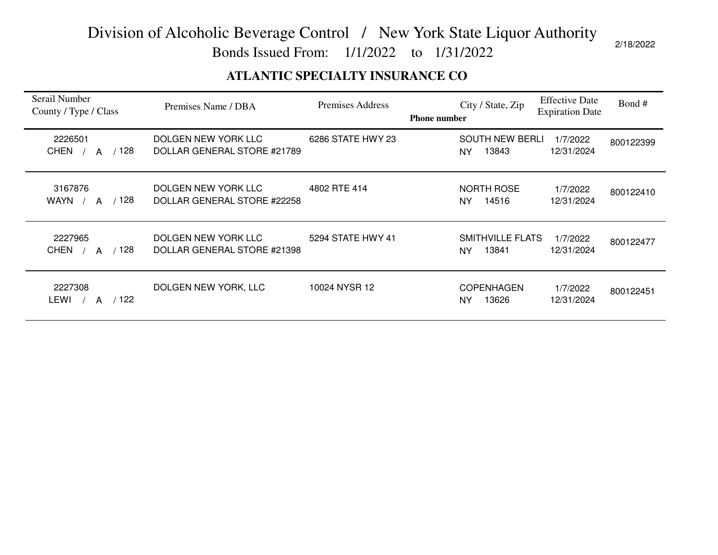Bonds Issued From: 1/1/2022 to 1/31/2022

### **ATLANTIC SPECIALTY INSURANCE CO**

| Serail Number<br>County / Type / Class          | Premises Name / DBA                                | Premises Address  | <b>Phone number</b> | City / State, Zip                      | <b>Effective Date</b><br><b>Expiration Date</b> | Bond#     |
|-------------------------------------------------|----------------------------------------------------|-------------------|---------------------|----------------------------------------|-------------------------------------------------|-----------|
| 2226501<br><b>CHEN</b><br>128<br>A              | DOLGEN NEW YORK LLC<br>DOLLAR GENERAL STORE #21789 | 6286 STATE HWY 23 |                     | <b>SOUTH NEW BERLI</b><br>13843<br>NY. | 1/7/2022<br>12/31/2024                          | 800122399 |
| 3167876<br>/ 128<br>WAYN /<br>A                 | DOLGEN NEW YORK LLC<br>DOLLAR GENERAL STORE #22258 | 4802 RTE 414      |                     | <b>NORTH ROSE</b><br>14516<br>NY.      | 1/7/2022<br>12/31/2024                          | 800122410 |
| 2227965<br>128<br><b>CHEN</b><br>$\overline{A}$ | DOLGEN NEW YORK LLC<br>DOLLAR GENERAL STORE #21398 | 5294 STATE HWY 41 |                     | SMITHVILLE FLATS<br>13841<br>NY        | 1/7/2022<br>12/31/2024                          | 800122477 |
| 2227308<br>122<br>LEWI<br>A                     | DOLGEN NEW YORK, LLC                               | 10024 NYSR 12     |                     | <b>COPENHAGEN</b><br>13626<br>NY       | 1/7/2022<br>12/31/2024                          | 800122451 |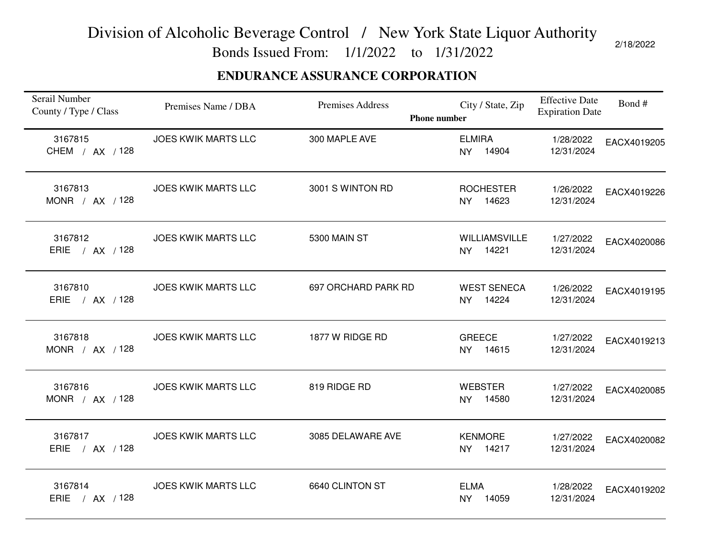Bonds Issued From: 1/1/2022 to 1/31/2022

### **ENDURANCE ASSURANCE CORPORATION**

| Serail Number<br>County / Type / Class | Premises Name / DBA        | Premises Address<br><b>Phone number</b> | City / State, Zip                | <b>Effective Date</b><br><b>Expiration Date</b> | Bond#       |
|----------------------------------------|----------------------------|-----------------------------------------|----------------------------------|-------------------------------------------------|-------------|
| 3167815<br>CHEM / AX / 128             | <b>JOES KWIK MARTS LLC</b> | 300 MAPLE AVE                           | <b>ELMIRA</b><br>NY 14904        | 1/28/2022<br>12/31/2024                         | EACX4019205 |
| 3167813<br>MONR / AX / 128             | <b>JOES KWIK MARTS LLC</b> | 3001 S WINTON RD                        | <b>ROCHESTER</b><br>NY 14623     | 1/26/2022<br>12/31/2024                         | EACX4019226 |
| 3167812<br>ERIE / AX / 128             | <b>JOES KWIK MARTS LLC</b> | 5300 MAIN ST                            | <b>WILLIAMSVILLE</b><br>NY 14221 | 1/27/2022<br>12/31/2024                         | EACX4020086 |
| 3167810<br>ERIE / AX / 128             | <b>JOES KWIK MARTS LLC</b> | 697 ORCHARD PARK RD                     | <b>WEST SENECA</b><br>NY 14224   | 1/26/2022<br>12/31/2024                         | EACX4019195 |
| 3167818<br>MONR / AX / 128             | <b>JOES KWIK MARTS LLC</b> | 1877 W RIDGE RD                         | <b>GREECE</b><br>NY 14615        | 1/27/2022<br>12/31/2024                         | EACX4019213 |
| 3167816<br>MONR / AX / 128             | <b>JOES KWIK MARTS LLC</b> | 819 RIDGE RD                            | <b>WEBSTER</b><br>NY 14580       | 1/27/2022<br>12/31/2024                         | EACX4020085 |
| 3167817<br>ERIE / AX / 128             | <b>JOES KWIK MARTS LLC</b> | 3085 DELAWARE AVE                       | <b>KENMORE</b><br>NY 14217       | 1/27/2022<br>12/31/2024                         | EACX4020082 |
| 3167814<br>ERIE / AX / 128             | <b>JOES KWIK MARTS LLC</b> | 6640 CLINTON ST                         | <b>ELMA</b><br>NY 14059          | 1/28/2022<br>12/31/2024                         | EACX4019202 |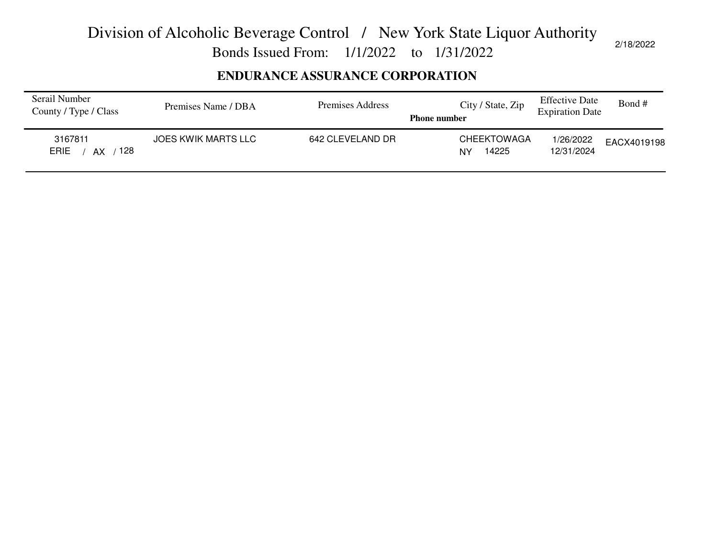Bonds Issued From: 1/1/2022 to 1/31/2022

### **ENDURANCE ASSURANCE CORPORATION**

| Serail Number<br>County / Type / Class | Premises Name / DBA        | Premises Address | City / State, Zip<br><b>Phone number</b> | <b>Effective Date</b><br><b>Expiration Date</b> | Bond #      |
|----------------------------------------|----------------------------|------------------|------------------------------------------|-------------------------------------------------|-------------|
| 3167811<br>128<br><b>ERIE</b><br>AX    | <b>JOES KWIK MARTS LLC</b> | 642 CLEVELAND DR | <b>CHEEKTOWAGA</b><br>14225<br>NY        | 1/26/2022<br>12/31/2024                         | EACX4019198 |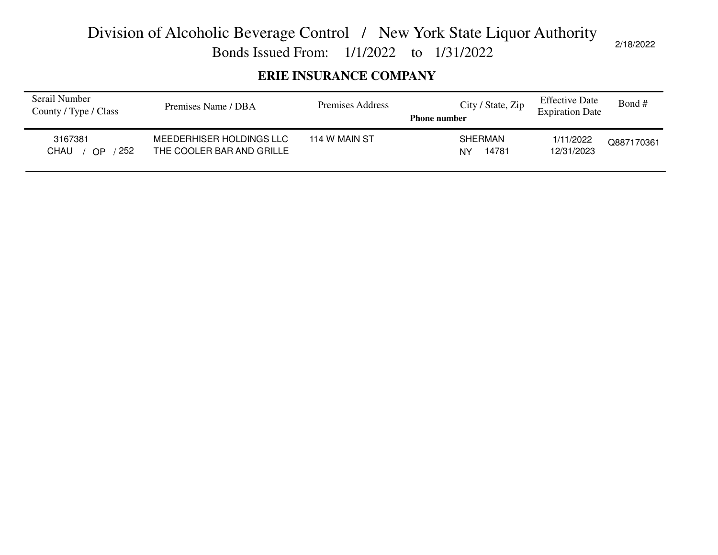Bonds Issued From: 1/1/2022 to 1/31/2022

### **ERIE INSURANCE COMPANY**

| Serail Number<br>County / Type / Class | Premises Name / DBA                                   | Premises Address | City / State, Zip<br><b>Phone number</b> | <b>Effective Date</b><br><b>Expiration Date</b> | Bond #     |
|----------------------------------------|-------------------------------------------------------|------------------|------------------------------------------|-------------------------------------------------|------------|
| 3167381<br>252<br>CHAU<br>OP.          | MEEDERHISER HOLDINGS LLC<br>THE COOLER BAR AND GRILLE | 114 W MAIN ST    | <b>SHERMAN</b><br>14781<br>NY            | 1/11/2022<br>12/31/2023                         | Q887170361 |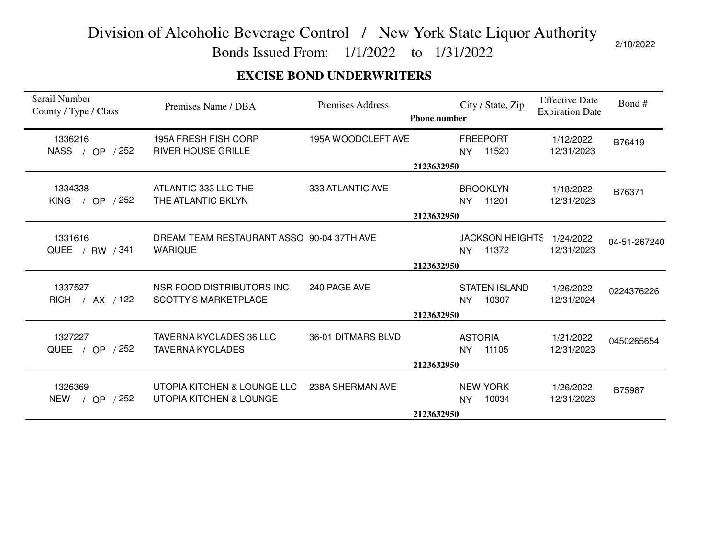Bonds Issued From: 1/1/2022 to 1/31/2022

### **EXCISE BOND UNDERWRITERS**

| Serail Number<br>County / Type / Class               | Premises Name / DBA                                         | <b>Premises Address</b> | <b>Phone number</b> | City / State, Zip               | <b>Effective Date</b><br><b>Expiration Date</b> | Bond#        |
|------------------------------------------------------|-------------------------------------------------------------|-------------------------|---------------------|---------------------------------|-------------------------------------------------|--------------|
| 1336216<br>NASS / OP / 252                           | 195A FRESH FISH CORP<br><b>RIVER HOUSE GRILLE</b>           | 195A WOODCLEFT AVE      | <b>NY</b>           | <b>FREEPORT</b><br>11520        | 1/12/2022<br>12/31/2023                         | B76419       |
|                                                      |                                                             |                         | 2123632950          |                                 |                                                 |              |
| 1334338<br><b>KING</b><br>/ 252<br>/ OP              | ATLANTIC 333 LLC THE<br>THE ATLANTIC BKLYN                  | 333 ATLANTIC AVE        | NY.                 | <b>BROOKLYN</b><br>11201        | 1/18/2022<br>12/31/2023                         | B76371       |
|                                                      | 2123632950                                                  |                         |                     |                                 |                                                 |              |
| 1331616<br>QUEE / RW / 341                           | DREAM TEAM RESTAURANT ASSO 90-04 37TH AVE<br><b>WARIQUE</b> |                         | NY                  | <b>JACKSON HEIGHTS</b><br>11372 | 1/24/2022<br>12/31/2023                         | 04-51-267240 |
|                                                      |                                                             |                         | 2123632950          |                                 |                                                 |              |
| 1337527<br>RICH / AX / 122                           | NSR FOOD DISTRIBUTORS INC<br><b>SCOTTY'S MARKETPLACE</b>    | 240 PAGE AVE            | <b>NY</b>           | <b>STATEN ISLAND</b><br>10307   | 1/26/2022<br>12/31/2024                         | 0224376226   |
|                                                      |                                                             |                         | 2123632950          |                                 |                                                 |              |
| 1327227<br>/ OP $/252$<br>QUEE                       | TAVERNA KYCLADES 36 LLC<br><b>TAVERNA KYCLADES</b>          | 36-01 DITMARS BLVD      | <b>NY</b>           | <b>ASTORIA</b><br>11105         | 1/21/2022<br>12/31/2023                         | 0450265654   |
|                                                      |                                                             |                         | 2123632950          |                                 |                                                 |              |
| 1326369<br>/252<br>NEW<br><b>OP</b><br>$\frac{1}{2}$ | UTOPIA KITCHEN & LOUNGE LLC<br>UTOPIA KITCHEN & LOUNGE      | 238A SHERMAN AVE        | <b>NY</b>           | <b>NEW YORK</b><br>10034        | 1/26/2022<br>12/31/2023                         | B75987       |
|                                                      |                                                             |                         | 2123632950          |                                 |                                                 |              |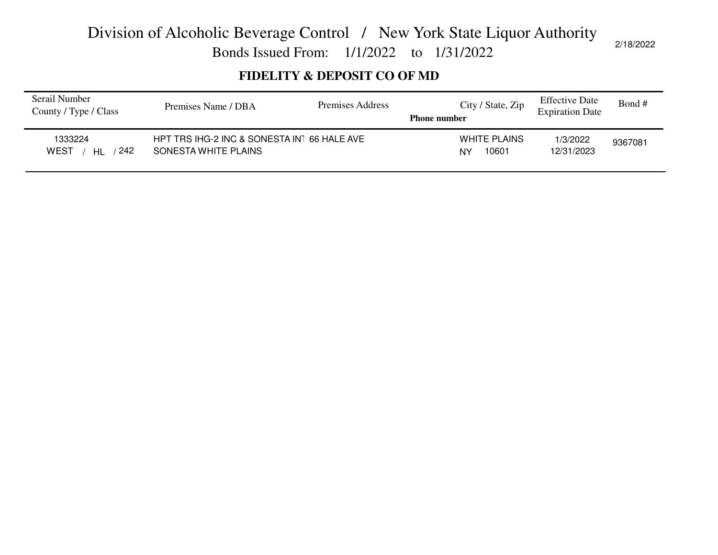Bonds Issued From: 1/1/2022 to 1/31/2022

### **FIDELITY & DEPOSIT CO OF MD**

| Serail Number<br>County / Type / Class | Premises Name / DBA                                                 | Premises Address | City / State, Zip<br><b>Phone number</b> | <b>Effective Date</b><br><b>Expiration Date</b> | Bond #  |
|----------------------------------------|---------------------------------------------------------------------|------------------|------------------------------------------|-------------------------------------------------|---------|
| 1333224<br>242<br>WEST<br>HI           | HPT TRS IHG-2 INC & SONESTA IN1 66 HALE AVE<br>SONESTA WHITE PLAINS |                  | WHITE PLAINS<br>10601<br>NY              | 1/3/2022<br>12/31/2023                          | 9367081 |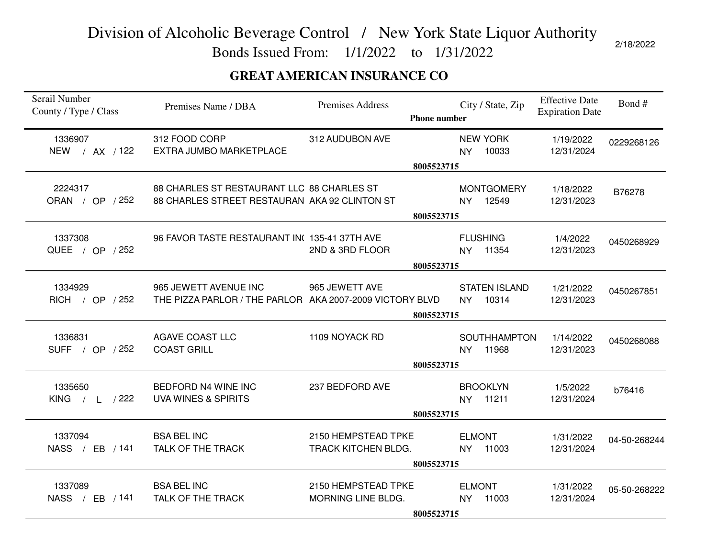Bonds Issued From: 1/1/2022 to 1/31/2022

### **GREAT AMERICAN INSURANCE CO**

| Serail Number<br>County / Type / Class | Premises Name / DBA                                                                         | Premises Address                           | <b>Phone number</b>      |                            | City / State, Zip             | <b>Effective Date</b><br><b>Expiration Date</b> | Bond#        |
|----------------------------------------|---------------------------------------------------------------------------------------------|--------------------------------------------|--------------------------|----------------------------|-------------------------------|-------------------------------------------------|--------------|
| 1336907<br>NEW / AX / 122              | 312 FOOD CORP<br>EXTRA JUMBO MARKETPLACE                                                    | 312 AUDUBON AVE                            |                          | <b>NY</b>                  | <b>NEW YORK</b><br>10033      | 1/19/2022<br>12/31/2024                         | 0229268126   |
|                                        |                                                                                             |                                            | 8005523715               |                            |                               |                                                 |              |
| 2224317<br>ORAN / OP / 252             | 88 CHARLES ST RESTAURANT LLC 88 CHARLES ST<br>88 CHARLES STREET RESTAURAN AKA 92 CLINTON ST |                                            |                          | NY.                        | <b>MONTGOMERY</b><br>12549    | 1/18/2022<br>12/31/2023                         | B76278       |
|                                        |                                                                                             |                                            | 8005523715               |                            |                               |                                                 |              |
| 1337308<br>QUEE / OP / 252             | 96 FAVOR TASTE RESTAURANT IN(135-41 37TH AVE                                                | 2ND & 3RD FLOOR                            |                          | <b>FLUSHING</b>            | NY 11354                      | 1/4/2022<br>12/31/2023                          | 0450268929   |
|                                        |                                                                                             |                                            | 8005523715               |                            |                               |                                                 |              |
| 1334929<br>RICH / OP / 252             | 965 JEWETT AVENUE INC<br>THE PIZZA PARLOR / THE PARLOR AKA 2007-2009 VICTORY BLVD           | 965 JEWETT AVE                             |                          | <b>NY</b>                  | <b>STATEN ISLAND</b><br>10314 | 1/21/2022<br>12/31/2023                         | 0450267851   |
|                                        |                                                                                             |                                            | 8005523715               |                            |                               |                                                 |              |
| 1336831<br>SUFF / OP / 252             | <b>AGAVE COAST LLC</b><br><b>COAST GRILL</b>                                                | 1109 NOYACK RD                             | 8005523715               | <b>NY</b>                  | <b>SOUTHHAMPTON</b><br>11968  | 1/14/2022<br>12/31/2023                         | 0450268088   |
| 1335650<br>KING $/ L / 222$            | BEDFORD N4 WINE INC<br><b>UVA WINES &amp; SPIRITS</b>                                       | 237 BEDFORD AVE                            |                          | NY.                        | <b>BROOKLYN</b><br>11211      | 1/5/2022<br>12/31/2024                          | b76416       |
|                                        |                                                                                             |                                            | 8005523715               |                            |                               |                                                 |              |
| 1337094<br>NASS / EB / 141             | <b>BSA BEL INC</b><br>TALK OF THE TRACK                                                     | 2150 HEMPSTEAD TPKE<br>TRACK KITCHEN BLDG. |                          | <b>ELMONT</b><br><b>NY</b> | 11003                         | 1/31/2022<br>12/31/2024                         | 04-50-268244 |
|                                        |                                                                                             |                                            |                          |                            |                               |                                                 |              |
| 1337089<br>NASS / EB / 141             | <b>BSA BEL INC</b><br>TALK OF THE TRACK                                                     | 2150 HEMPSTEAD TPKE<br>MORNING LINE BLDG.  |                          | <b>ELMONT</b><br><b>NY</b> | 11003                         | 1/31/2022<br>12/31/2024                         | 05-50-268222 |
|                                        |                                                                                             |                                            | 8005523715<br>8005523715 |                            |                               |                                                 |              |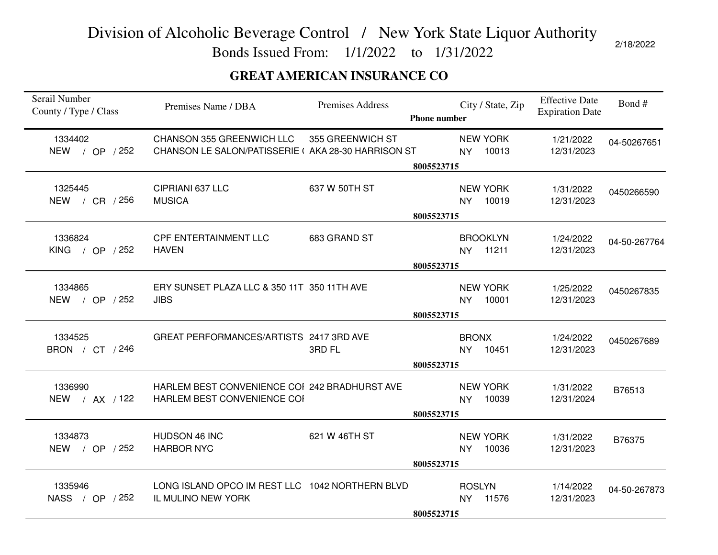Bonds Issued From: 1/1/2022 to 1/31/2022

### **GREAT AMERICAN INSURANCE CO**

| Serail Number<br>County / Type / Class | Premises Name / DBA                                                             | Premises Address | <b>Phone number</b>     |               | City / State, Zip           | <b>Effective Date</b><br><b>Expiration Date</b> | Bond#        |
|----------------------------------------|---------------------------------------------------------------------------------|------------------|-------------------------|---------------|-----------------------------|-------------------------------------------------|--------------|
| 1334402<br>NEW / OP / 252              | CHANSON 355 GREENWICH LLC<br>CHANSON LE SALON/PATISSERIE (AKA 28-30 HARRISON ST | 355 GREENWICH ST | <b>NY</b>               |               | <b>NEW YORK</b><br>10013    | 1/21/2022<br>12/31/2023                         | 04-50267651  |
|                                        |                                                                                 |                  | 8005523715              |               |                             |                                                 |              |
| 1325445<br>NEW / CR / 256              | CIPRIANI 637 LLC<br><b>MUSICA</b>                                               | 637 W 50TH ST    | <b>NY</b>               |               | <b>NEW YORK</b><br>10019    | 1/31/2022<br>12/31/2023                         | 0450266590   |
|                                        |                                                                                 |                  | 8005523715              |               |                             |                                                 |              |
| 1336824<br>KING / OP $/252$            | <b>CPF ENTERTAINMENT LLC</b><br><b>HAVEN</b>                                    | 683 GRAND ST     |                         |               | <b>BROOKLYN</b><br>NY 11211 | 1/24/2022<br>12/31/2023                         | 04-50-267764 |
|                                        |                                                                                 |                  | 8005523715              |               |                             |                                                 |              |
| 1334865<br>NEW / OP / 252              | ERY SUNSET PLAZA LLC & 350 11T 350 11TH AVE<br><b>JIBS</b>                      |                  | <b>NY</b>               |               | <b>NEW YORK</b><br>10001    | 1/25/2022<br>12/31/2023                         | 0450267835   |
|                                        |                                                                                 |                  | 8005523715              |               |                             |                                                 |              |
| 1334525<br>BRON / CT / 246             | GREAT PERFORMANCES/ARTISTS 2417 3RD AVE                                         | 3RD FL           | <b>NY</b><br>8005523715 | <b>BRONX</b>  | 10451                       | 1/24/2022<br>12/31/2023                         | 0450267689   |
| 1336990<br>NEW / AX / 122              | HARLEM BEST CONVENIENCE COI 242 BRADHURST AVE<br>HARLEM BEST CONVENIENCE COI    |                  | <b>NY</b>               |               | <b>NEW YORK</b><br>10039    | 1/31/2022<br>12/31/2024                         | B76513       |
|                                        |                                                                                 |                  | 8005523715              |               |                             |                                                 |              |
| 1334873<br>NEW / OP / 252              | HUDSON 46 INC<br><b>HARBOR NYC</b>                                              | 621 W 46TH ST    | <b>NY</b>               |               | <b>NEW YORK</b><br>10036    | 1/31/2022<br>12/31/2023                         | B76375       |
|                                        |                                                                                 |                  | 8005523715              |               |                             |                                                 |              |
| 1335946<br>NASS / OP / 252             | LONG ISLAND OPCO IM REST LLC 1042 NORTHERN BLVD<br>IL MULINO NEW YORK           |                  | <b>NY</b>               | <b>ROSLYN</b> | 11576                       | 1/14/2022<br>12/31/2023                         | 04-50-267873 |
|                                        |                                                                                 |                  | 8005523715              |               |                             |                                                 |              |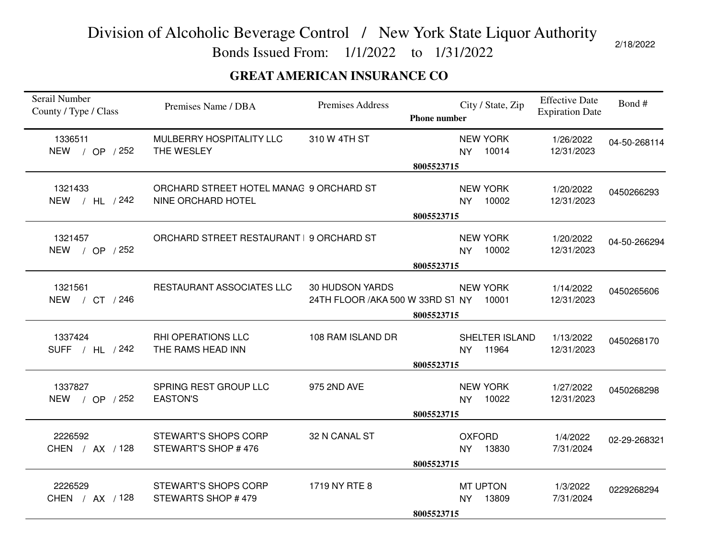Bonds Issued From: 1/1/2022 to 1/31/2022

### **GREAT AMERICAN INSURANCE CO**

| Serail Number<br>County / Type / Class | Premises Name / DBA                                           | Premises Address                                            | <b>Phone number</b> |                            | City / State, Zip        | <b>Effective Date</b><br><b>Expiration Date</b> | Bond#        |
|----------------------------------------|---------------------------------------------------------------|-------------------------------------------------------------|---------------------|----------------------------|--------------------------|-------------------------------------------------|--------------|
| 1336511<br>NEW / OP / 252              | MULBERRY HOSPITALITY LLC<br>THE WESLEY                        | 310 W 4TH ST                                                |                     | <b>NY</b>                  | <b>NEW YORK</b><br>10014 | 1/26/2022<br>12/31/2023                         | 04-50-268114 |
|                                        |                                                               |                                                             | 8005523715          |                            |                          |                                                 |              |
| 1321433<br>NEW / HL / 242              | ORCHARD STREET HOTEL MANAG 9 ORCHARD ST<br>NINE ORCHARD HOTEL |                                                             |                     | <b>NY</b>                  | <b>NEW YORK</b><br>10002 | 1/20/2022<br>12/31/2023                         | 0450266293   |
|                                        |                                                               |                                                             | 8005523715          |                            |                          |                                                 |              |
| 1321457<br>NEW / OP / 252              | ORCHARD STREET RESTAURANT   9 ORCHARD ST                      |                                                             |                     | <b>NY</b>                  | <b>NEW YORK</b><br>10002 | 1/20/2022<br>12/31/2023                         | 04-50-266294 |
|                                        |                                                               |                                                             | 8005523715          |                            |                          |                                                 |              |
| 1321561<br>NEW / CT / 246              | RESTAURANT ASSOCIATES LLC                                     | <b>30 HUDSON YARDS</b><br>24TH FLOOR / AKA 500 W 33RD ST NY |                     |                            | <b>NEW YORK</b><br>10001 | 1/14/2022<br>12/31/2023                         | 0450265606   |
|                                        |                                                               |                                                             | 8005523715          |                            |                          |                                                 |              |
| 1337424<br>SUFF / HL / 242             | RHI OPERATIONS LLC<br>THE RAMS HEAD INN                       | 108 RAM ISLAND DR                                           | 8005523715          | <b>NY</b>                  | SHELTER ISLAND<br>11964  | 1/13/2022<br>12/31/2023                         | 0450268170   |
| 1337827<br>NEW / OP / 252              | SPRING REST GROUP LLC<br><b>EASTON'S</b>                      | 975 2ND AVE                                                 |                     | NY.                        | <b>NEW YORK</b><br>10022 | 1/27/2022<br>12/31/2023                         | 0450268298   |
|                                        |                                                               |                                                             | 8005523715          |                            |                          |                                                 |              |
| 2226592<br>CHEN / AX / 128             | <b>STEWART'S SHOPS CORP</b><br>STEWART'S SHOP #476            | 32 N CANAL ST                                               |                     | <b>OXFORD</b><br><b>NY</b> | 13830                    | 1/4/2022<br>7/31/2024                           | 02-29-268321 |
|                                        |                                                               |                                                             | 8005523715          |                            |                          |                                                 |              |
| 2226529<br>CHEN / AX / 128             | <b>STEWART'S SHOPS CORP</b><br>STEWARTS SHOP #479             | 1719 NY RTE 8                                               |                     | <b>NY</b>                  | <b>MT UPTON</b><br>13809 | 1/3/2022<br>7/31/2024                           | 0229268294   |
|                                        |                                                               |                                                             | 8005523715          |                            |                          |                                                 |              |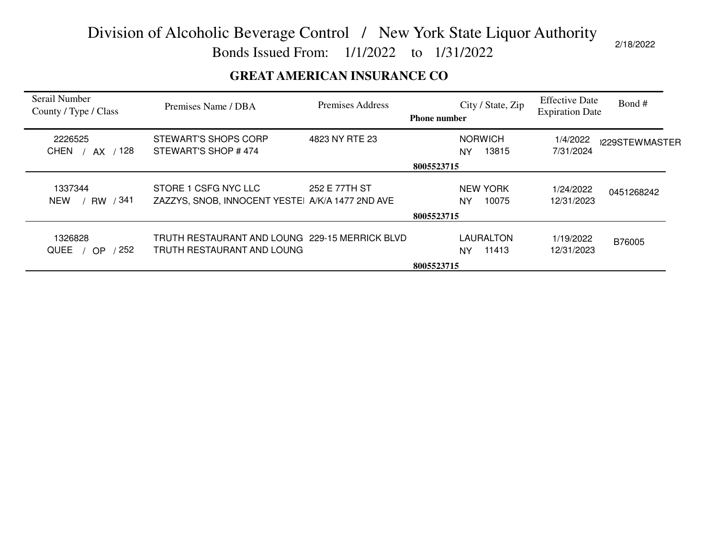Bonds Issued From: 1/1/2022 to 1/31/2022

### **GREAT AMERICAN INSURANCE CO**

| Serail Number<br>County / Type / Class     | Premises Name / DBA                                                          | <b>Premises Address</b> | <b>Phone number</b> |                               | City / State, Zip | <b>Effective Date</b><br><b>Expiration Date</b> | Bond #         |
|--------------------------------------------|------------------------------------------------------------------------------|-------------------------|---------------------|-------------------------------|-------------------|-------------------------------------------------|----------------|
| 2226525<br>/ 128<br><b>CHEN</b><br>AX      | STEWART'S SHOPS CORP<br>STEWART'S SHOP #474                                  | 4823 NY RTE 23          |                     | <b>NORWICH</b><br>NY          | 13815             | 1/4/2022<br>7/31/2024                           | )229STEWMASTER |
|                                            |                                                                              |                         | 8005523715          |                               |                   |                                                 |                |
| 1337344<br>RW / 341<br><b>NEW</b>          | STORE 1 CSFG NYC LLC<br>ZAZZYS, SNOB, INNOCENT YESTEI A/K/A 1477 2ND AVE     | 252 E 77TH ST           |                     | <b>NEW YORK</b><br>NY         | 10075             | 1/24/2022<br>12/31/2023                         | 0451268242     |
|                                            |                                                                              |                         | 8005523715          |                               |                   |                                                 |                |
| 1326828<br>252<br><b>QUEE</b><br><b>OP</b> | TRUTH RESTAURANT AND LOUNG 229-15 MERRICK BLVD<br>TRUTH RESTAURANT AND LOUNG |                         |                     | <b>LAURALTON</b><br><b>NY</b> | 11413             | 1/19/2022<br>12/31/2023                         | B76005         |
|                                            |                                                                              |                         | 8005523715          |                               |                   |                                                 |                |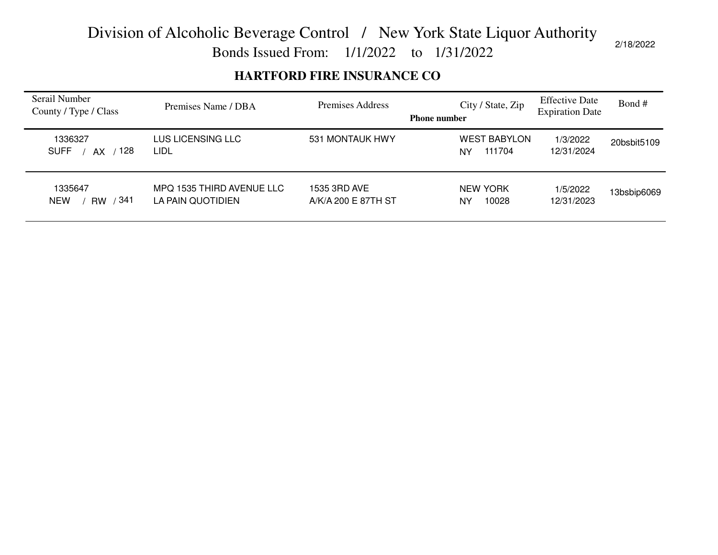Bonds Issued From: 1/1/2022 to 1/31/2022

### **HARTFORD FIRE INSURANCE CO**

| Serail Number<br>County / Type / Class    | Premises Name / DBA                            | Premises Address                    | City / State, Zip<br><b>Phone number</b> | <b>Effective Date</b><br><b>Expiration Date</b> | Bond #      |
|-------------------------------------------|------------------------------------------------|-------------------------------------|------------------------------------------|-------------------------------------------------|-------------|
| 1336327<br>128<br><b>SUFF</b><br>AX.      | LUS LICENSING LLC<br>LIDL                      | 531 MONTAUK HWY                     | <b>WEST BABYLON</b><br>111704<br>NY      | 1/3/2022<br>12/31/2024                          | 20bsbit5109 |
| 1335647<br>341<br><b>NEW</b><br><b>RW</b> | MPQ 1535 THIRD AVENUE LLC<br>LA PAIN QUOTIDIEN | 1535 3RD AVE<br>A/K/A 200 E 87TH ST | <b>NEW YORK</b><br>10028<br>NY           | 1/5/2022<br>12/31/2023                          | 13bsbip6069 |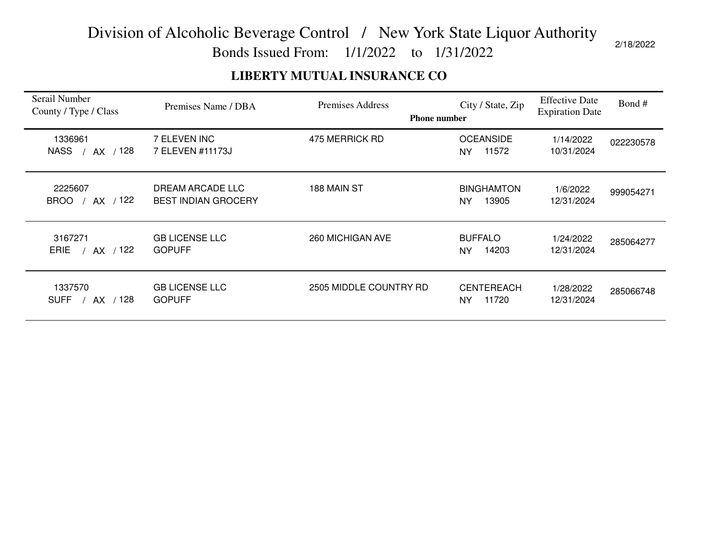Bonds Issued From: 1/1/2022 to 1/31/2022

### **LIBERTY MUTUAL INSURANCE CO**

| Serail Number<br>County / Type / Class | Premises Name / DBA                            | Premises Address       | City / State, Zip<br><b>Phone number</b> | <b>Effective Date</b><br><b>Expiration Date</b> | Bond#     |
|----------------------------------------|------------------------------------------------|------------------------|------------------------------------------|-------------------------------------------------|-----------|
| 1336961<br>AX / 128<br><b>NASS</b>     | 7 ELEVEN INC<br>7 ELEVEN #11173J               | 475 MERRICK RD         | <b>OCEANSIDE</b><br>11572<br>NY.         | 1/14/2022<br>10/31/2024                         | 022230578 |
| 2225607<br>AX / 122<br><b>BROO</b>     | DREAM ARCADE LLC<br><b>BEST INDIAN GROCERY</b> | 188 MAIN ST            | <b>BINGHAMTON</b><br>13905<br><b>NY</b>  | 1/6/2022<br>12/31/2024                          | 999054271 |
| 3167271<br>AX / 122<br><b>ERIE</b>     | <b>GB LICENSE LLC</b><br><b>GOPUFF</b>         | 260 MICHIGAN AVE       | <b>BUFFALO</b><br>14203<br>NY            | 1/24/2022<br>12/31/2024                         | 285064277 |
| 1337570<br>/ 128<br><b>SUFF</b><br>AX  | <b>GB LICENSE LLC</b><br><b>GOPUFF</b>         | 2505 MIDDLE COUNTRY RD | <b>CENTEREACH</b><br>11720<br><b>NY</b>  | 1/28/2022<br>12/31/2024                         | 285066748 |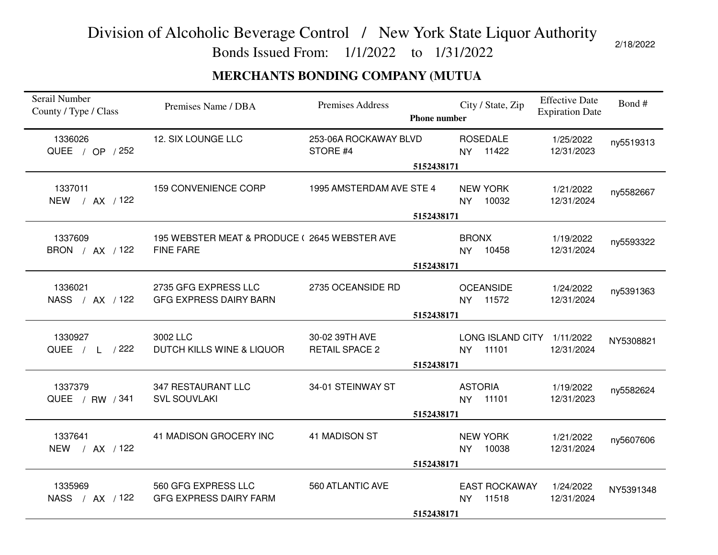Bonds Issued From: 1/1/2022 to 1/31/2022

### **MERCHANTS BONDING COMPANY (MUTUA**

| Serail Number<br>County / Type / Class | Premises Name / DBA                                              | Premises Address                        | <b>Phone number</b> | City / State, Zip                                | <b>Effective Date</b><br><b>Expiration Date</b> | Bond#     |
|----------------------------------------|------------------------------------------------------------------|-----------------------------------------|---------------------|--------------------------------------------------|-------------------------------------------------|-----------|
| 1336026<br>QUEE / OP / 252             | 12. SIX LOUNGE LLC                                               | 253-06A ROCKAWAY BLVD<br>STORE #4       |                     | <b>ROSEDALE</b><br>NY 11422                      | 1/25/2022<br>12/31/2023                         | ny5519313 |
|                                        |                                                                  |                                         | 5152438171          |                                                  |                                                 |           |
| 1337011<br>NEW / AX / 122              | <b>159 CONVENIENCE CORP</b>                                      | 1995 AMSTERDAM AVE STE 4                |                     | <b>NEW YORK</b><br>10032<br><b>NY</b>            | 1/21/2022<br>12/31/2024                         | ny5582667 |
|                                        |                                                                  |                                         | 5152438171          |                                                  |                                                 |           |
| 1337609<br>BRON / AX / 122             | 195 WEBSTER MEAT & PRODUCE (2645 WEBSTER AVE<br><b>FINE FARE</b> |                                         |                     | <b>BRONX</b><br>NY 10458                         | 1/19/2022<br>12/31/2024                         | ny5593322 |
|                                        |                                                                  |                                         | 5152438171          |                                                  |                                                 |           |
| 1336021<br>NASS / AX / 122             | 2735 GFG EXPRESS LLC<br><b>GFG EXPRESS DAIRY BARN</b>            | 2735 OCEANSIDE RD                       |                     | <b>OCEANSIDE</b><br>NY 11572                     | 1/24/2022<br>12/31/2024                         | ny5391363 |
|                                        |                                                                  |                                         | 5152438171          |                                                  |                                                 |           |
| 1330927<br>QUEE / L / 222              | 3002 LLC<br>DUTCH KILLS WINE & LIQUOR                            | 30-02 39TH AVE<br><b>RETAIL SPACE 2</b> | 5152438171          | LONG ISLAND CITY 1/11/2022<br>11101<br><b>NY</b> | 12/31/2024                                      | NY5308821 |
| 1337379<br>QUEE / RW / 341             | 347 RESTAURANT LLC<br><b>SVL SOUVLAKI</b>                        | 34-01 STEINWAY ST                       |                     | <b>ASTORIA</b><br>NY 11101                       | 1/19/2022<br>12/31/2023                         | ny5582624 |
|                                        |                                                                  |                                         | 5152438171          |                                                  |                                                 |           |
| 1337641<br>NEW / AX / 122              | 41 MADISON GROCERY INC                                           | 41 MADISON ST                           |                     | <b>NEW YORK</b><br>10038<br><b>NY</b>            | 1/21/2022<br>12/31/2024                         | ny5607606 |
|                                        |                                                                  |                                         | 5152438171          |                                                  |                                                 |           |
| 1335969<br>NASS / AX / 122             | 560 GFG EXPRESS LLC<br><b>GFG EXPRESS DAIRY FARM</b>             | 560 ATLANTIC AVE                        |                     | <b>EAST ROCKAWAY</b><br>11518<br><b>NY</b>       | 1/24/2022<br>12/31/2024                         | NY5391348 |
|                                        |                                                                  |                                         | 5152438171          |                                                  |                                                 |           |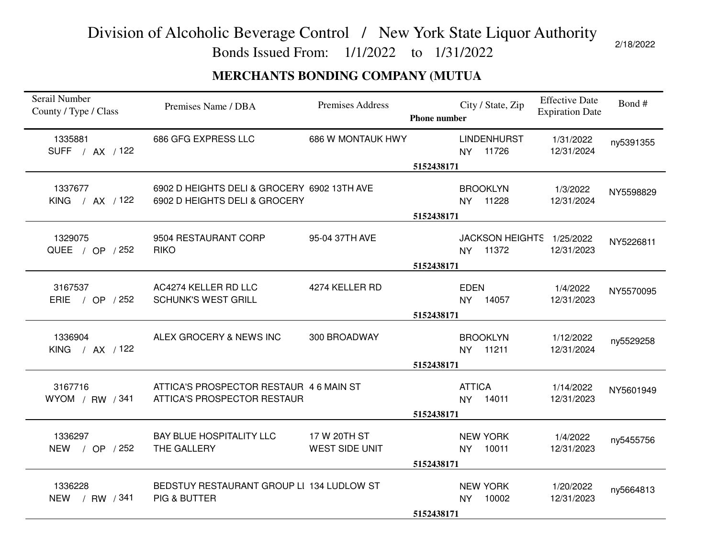Bonds Issued From: 1/1/2022 to 1/31/2022

### **MERCHANTS BONDING COMPANY (MUTUA**

| Serail Number<br>County / Type / Class | Premises Name / DBA                                                          | <b>Premises Address</b>               | <b>Phone number</b> | City / State, Zip                     | <b>Effective Date</b><br><b>Expiration Date</b> | Bond#     |
|----------------------------------------|------------------------------------------------------------------------------|---------------------------------------|---------------------|---------------------------------------|-------------------------------------------------|-----------|
| 1335881<br>SUFF / AX / 122             | 686 GFG EXPRESS LLC                                                          | 686 W MONTAUK HWY                     | 5152438171          | <b>LINDENHURST</b><br>NY 11726        | 1/31/2022<br>12/31/2024                         | ny5391355 |
| 1337677<br>KING / AX / 122             | 6902 D HEIGHTS DELI & GROCERY 6902 13TH AVE<br>6902 D HEIGHTS DELI & GROCERY |                                       | 5152438171          | <b>BROOKLYN</b><br>NY 11228           | 1/3/2022<br>12/31/2024                          | NY5598829 |
| 1329075<br>QUEE / OP / 252             | 9504 RESTAURANT CORP<br><b>RIKO</b>                                          | 95-04 37TH AVE                        | 5152438171          | JACKSON HEIGHTS 1/25/2022<br>NY 11372 | 12/31/2023                                      | NY5226811 |
| 3167537<br>ERIE / OP / 252             | AC4274 KELLER RD LLC<br><b>SCHUNK'S WEST GRILL</b>                           | 4274 KELLER RD                        | 5152438171          | <b>EDEN</b><br>NY 14057               | 1/4/2022<br>12/31/2023                          | NY5570095 |
| 1336904<br>KING / AX / 122             | ALEX GROCERY & NEWS INC                                                      | 300 BROADWAY                          | 5152438171          | <b>BROOKLYN</b><br>NY 11211           | 1/12/2022<br>12/31/2024                         | ny5529258 |
| 3167716<br>WYOM / RW $/341$            | ATTICA'S PROSPECTOR RESTAUR 46 MAIN ST<br>ATTICA'S PROSPECTOR RESTAUR        |                                       | 5152438171          | <b>ATTICA</b><br>14011<br><b>NY</b>   | 1/14/2022<br>12/31/2023                         | NY5601949 |
| 1336297<br>NEW / OP / 252              | <b>BAY BLUE HOSPITALITY LLC</b><br>THE GALLERY                               | 17 W 20TH ST<br><b>WEST SIDE UNIT</b> | 5152438171          | <b>NEW YORK</b><br>10011<br>NY        | 1/4/2022<br>12/31/2023                          | ny5455756 |
| 1336228<br>NEW / RW / 341              | BEDSTUY RESTAURANT GROUP LI 134 LUDLOW ST<br>PIG & BUTTER                    |                                       | 5152438171          | <b>NEW YORK</b><br>10002<br><b>NY</b> | 1/20/2022<br>12/31/2023                         | ny5664813 |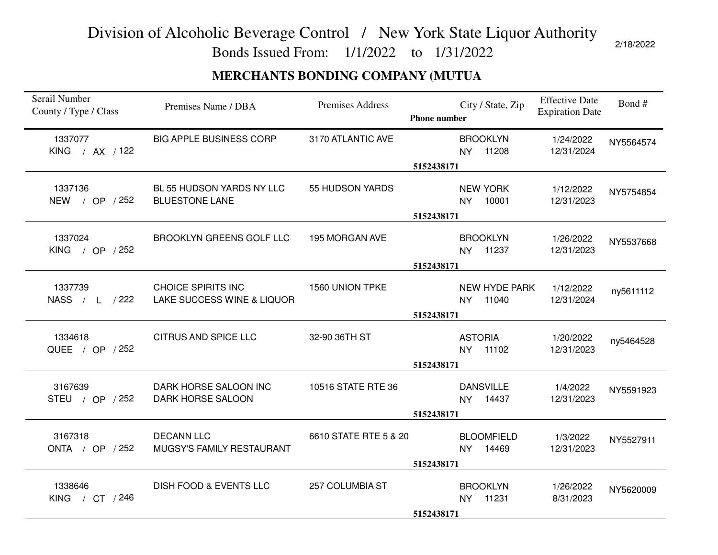Bonds Issued From: 1/1/2022 to 1/31/2022

2/18/2022

### **MERCHANTS BONDING COMPANY (MUTUA**

| Serail Number<br>County / Type / Class | Premises Name / DBA                                     | <b>Premises Address</b> | <b>Phone number</b> | City / State, Zip                       | <b>Effective Date</b><br><b>Expiration Date</b> | Bond#     |
|----------------------------------------|---------------------------------------------------------|-------------------------|---------------------|-----------------------------------------|-------------------------------------------------|-----------|
| 1337077<br>KING / AX / 122             | <b>BIG APPLE BUSINESS CORP</b>                          | 3170 ATLANTIC AVE       | 5152438171          | <b>BROOKLYN</b><br>NY 11208             | 1/24/2022<br>12/31/2024                         | NY5564574 |
| 1337136<br>NEW / OP / 252              | BL 55 HUDSON YARDS NY LLC<br><b>BLUESTONE LANE</b>      | 55 HUDSON YARDS         | 5152438171          | <b>NEW YORK</b><br>10001<br><b>NY</b>   | 1/12/2022<br>12/31/2023                         | NY5754854 |
| 1337024<br>KING / OP $/252$            | <b>BROOKLYN GREENS GOLF LLC</b>                         | 195 MORGAN AVE          | 5152438171          | <b>BROOKLYN</b><br>NY 11237             | 1/26/2022<br>12/31/2023                         | NY5537668 |
| 1337739<br>NASS / L /222               | <b>CHOICE SPIRITS INC</b><br>LAKE SUCCESS WINE & LIQUOR | 1560 UNION TPKE         | 5152438171          | NEW HYDE PARK<br>11040<br>NY            | 1/12/2022<br>12/31/2024                         | ny5611112 |
| 1334618<br>QUEE / OP / 252             | <b>CITRUS AND SPICE LLC</b>                             | 32-90 36TH ST           | 5152438171          | <b>ASTORIA</b><br>11102<br><b>NY</b>    | 1/20/2022<br>12/31/2023                         | ny5464528 |
| 3167639<br>STEU / OP / 252             | DARK HORSE SALOON INC<br><b>DARK HORSE SALOON</b>       | 10516 STATE RTE 36      | 5152438171          | <b>DANSVILLE</b><br>NY 14437            | 1/4/2022<br>12/31/2023                          | NY5591923 |
| 3167318<br>ONTA / OP / 252             | <b>DECANN LLC</b><br>MUGSY'S FAMILY RESTAURANT          | 6610 STATE RTE 5 & 20   | 5152438171          | <b>BLOOMFIELD</b><br>14469<br><b>NY</b> | 1/3/2022<br>12/31/2023                          | NY5527911 |
| 1338646<br>KING / CT / 246             | <b>DISH FOOD &amp; EVENTS LLC</b>                       | 257 COLUMBIA ST         | 5152438171          | <b>BROOKLYN</b><br>NY 11231             | 1/26/2022<br>8/31/2023                          | NY5620009 |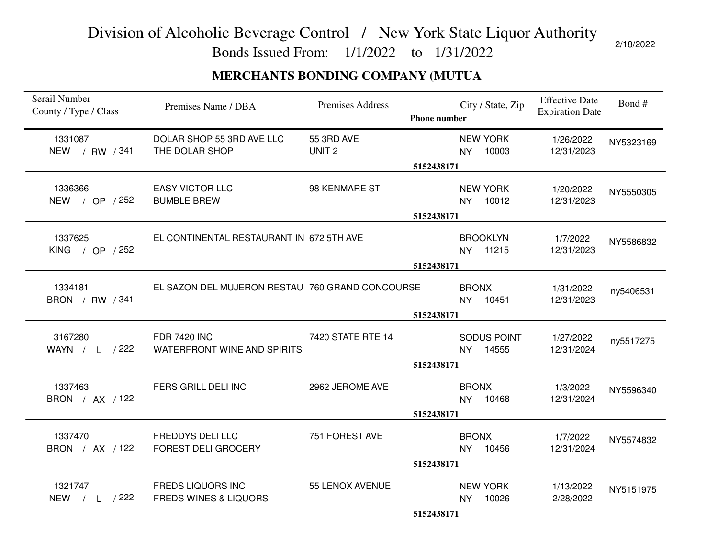Bonds Issued From: 1/1/2022 to 1/31/2022

### **MERCHANTS BONDING COMPANY (MUTUA**

| Serail Number<br>County / Type / Class | Premises Name / DBA                                          | <b>Premises Address</b>         | <b>Phone number</b> | City / State, Zip                     | <b>Effective Date</b><br><b>Expiration Date</b> | Bond#     |
|----------------------------------------|--------------------------------------------------------------|---------------------------------|---------------------|---------------------------------------|-------------------------------------------------|-----------|
| 1331087<br>NEW / RW / 341              | DOLAR SHOP 55 3RD AVE LLC<br>THE DOLAR SHOP                  | 55 3RD AVE<br>UNIT <sub>2</sub> | 5152438171          | <b>NEW YORK</b><br>10003<br><b>NY</b> | 1/26/2022<br>12/31/2023                         | NY5323169 |
| 1336366<br>NEW / OP / 252              | <b>EASY VICTOR LLC</b><br><b>BUMBLE BREW</b>                 | 98 KENMARE ST                   | 5152438171          | <b>NEW YORK</b><br><b>NY</b><br>10012 | 1/20/2022<br>12/31/2023                         | NY5550305 |
| 1337625<br>KING / OP $/252$            | EL CONTINENTAL RESTAURANT IN 672 5TH AVE                     |                                 | 5152438171          | <b>BROOKLYN</b><br>NY 11215           | 1/7/2022<br>12/31/2023                          | NY5586832 |
| 1334181<br>BRON / RW / 341             | EL SAZON DEL MUJERON RESTAU 760 GRAND CONCOURSE              |                                 | 5152438171          | <b>BRONX</b><br>NY 10451              | 1/31/2022<br>12/31/2023                         | ny5406531 |
| 3167280<br>WAYN $/$ L $/222$           | <b>FDR 7420 INC</b><br>WATERFRONT WINE AND SPIRITS           | 7420 STATE RTE 14               | 5152438171          | SODUS POINT<br>NY 14555               | 1/27/2022<br>12/31/2024                         | ny5517275 |
| 1337463<br>BRON / AX / 122             | FERS GRILL DELI INC                                          | 2962 JEROME AVE                 | 5152438171          | <b>BRONX</b><br>NY 10468              | 1/3/2022<br>12/31/2024                          | NY5596340 |
| 1337470<br>BRON / AX / 122             | <b>FREDDYS DELI LLC</b><br><b>FOREST DELI GROCERY</b>        | 751 FOREST AVE                  | 5152438171          | <b>BRONX</b><br>NY 10456              | 1/7/2022<br>12/31/2024                          | NY5574832 |
| 1321747<br>NEW / L /222                | <b>FREDS LIQUORS INC</b><br><b>FREDS WINES &amp; LIQUORS</b> | 55 LENOX AVENUE                 | 5152438171          | <b>NEW YORK</b><br>10026<br><b>NY</b> | 1/13/2022<br>2/28/2022                          | NY5151975 |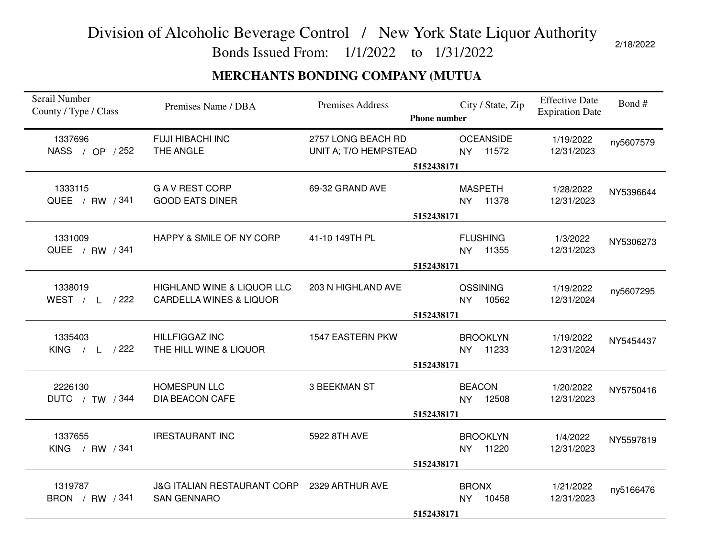Bonds Issued From: 1/1/2022 to 1/31/2022

### **MERCHANTS BONDING COMPANY (MUTUA**

| Serail Number<br>County / Type / Class  | Premises Name / DBA                                                         | <b>Premises Address</b>                     | City / State, Zip<br><b>Phone number</b>                | <b>Effective Date</b><br>Bond#<br><b>Expiration Date</b> |  |
|-----------------------------------------|-----------------------------------------------------------------------------|---------------------------------------------|---------------------------------------------------------|----------------------------------------------------------|--|
| 1337696<br>NASS / OP / 252              | <b>FUJI HIBACHI INC</b><br>THE ANGLE                                        | 2757 LONG BEACH RD<br>UNIT A; T/O HEMPSTEAD | <b>OCEANSIDE</b><br>NY 11572<br>5152438171              | 1/19/2022<br>ny5607579<br>12/31/2023                     |  |
| 1333115<br>QUEE / RW / 341              | <b>GAV REST CORP</b><br><b>GOOD EATS DINER</b>                              | 69-32 GRAND AVE                             | <b>MASPETH</b><br>11378<br><b>NY</b>                    | 1/28/2022<br>NY5396644<br>12/31/2023                     |  |
| 1331009<br>QUEE / RW / 341              | HAPPY & SMILE OF NY CORP                                                    | 41-10 149TH PL                              | 5152438171<br><b>FLUSHING</b><br>NY 11355<br>5152438171 | 1/3/2022<br>NY5306273<br>12/31/2023                      |  |
| 1338019<br>WEST / L /222                | <b>HIGHLAND WINE &amp; LIQUOR LLC</b><br><b>CARDELLA WINES &amp; LIQUOR</b> | 203 N HIGHLAND AVE                          | <b>OSSINING</b><br>10562<br><b>NY</b><br>5152438171     | 1/19/2022<br>ny5607295<br>12/31/2024                     |  |
| 1335403<br>$/$ L $/$ 222<br><b>KING</b> | <b>HILLFIGGAZ INC</b><br>THE HILL WINE & LIQUOR                             | 1547 EASTERN PKW                            | <b>BROOKLYN</b><br>11233<br><b>NY</b><br>5152438171     | 1/19/2022<br>NY5454437<br>12/31/2024                     |  |
| 2226130<br>DUTC / TW / 344              | <b>HOMESPUN LLC</b><br><b>DIA BEACON CAFE</b>                               | <b>3 BEEKMAN ST</b>                         | <b>BEACON</b><br><b>NY</b><br>12508<br>5152438171       | 1/20/2022<br>NY5750416<br>12/31/2023                     |  |
| 1337655<br>KING / RW / 341              | <b>IRESTAURANT INC</b>                                                      | 5922 8TH AVE                                | <b>BROOKLYN</b><br>11220<br>NY.<br>5152438171           | 1/4/2022<br>NY5597819<br>12/31/2023                      |  |
| 1319787<br>BRON / RW / 341              | <b>J&amp;G ITALIAN RESTAURANT CORP</b><br><b>SAN GENNARO</b>                | 2329 ARTHUR AVE                             | <b>BRONX</b><br>10458<br>NY<br>5152438171               | 1/21/2022<br>ny5166476<br>12/31/2023                     |  |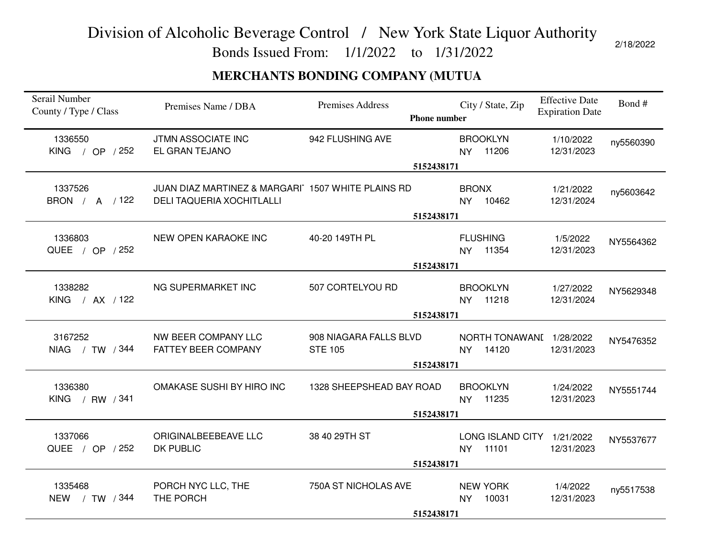Bonds Issued From: 1/1/2022 to 1/31/2022

#### **MERCHANTS BONDING COMPANY (MUTUA**

| Serail Number<br>County / Type / Class | Premises Name / DBA                                                                   | Premises Address<br><b>Phone number</b>                | City / State, Zip                                | <b>Effective Date</b><br><b>Expiration Date</b> | Bond#     |
|----------------------------------------|---------------------------------------------------------------------------------------|--------------------------------------------------------|--------------------------------------------------|-------------------------------------------------|-----------|
| 1336550<br>KING / OP / 252             | JTMN ASSOCIATE INC<br>EL GRAN TEJANO                                                  | 942 FLUSHING AVE<br>5152438171                         | <b>BROOKLYN</b><br>NY 11206                      | 1/10/2022<br>12/31/2023                         | ny5560390 |
| 1337526<br>BRON / A / 122              | JUAN DIAZ MARTINEZ & MARGARI 1507 WHITE PLAINS RD<br><b>DELI TAQUERIA XOCHITLALLI</b> | 5152438171                                             | <b>BRONX</b><br>10462<br><b>NY</b>               | 1/21/2022<br>12/31/2024                         | ny5603642 |
| 1336803<br>QUEE / OP / 252             | NEW OPEN KARAOKE INC                                                                  | 40-20 149TH PL<br>5152438171                           | <b>FLUSHING</b><br>NY 11354                      | 1/5/2022<br>12/31/2023                          | NY5564362 |
| 1338282<br>KING / AX / 122             | NG SUPERMARKET INC                                                                    | 507 CORTELYOU RD<br>5152438171                         | <b>BROOKLYN</b><br>11218<br>NY.                  | 1/27/2022<br>12/31/2024                         | NY5629348 |
| 3167252<br>NIAG / TW / 344             | NW BEER COMPANY LLC<br>FATTEY BEER COMPANY                                            | 908 NIAGARA FALLS BLVD<br><b>STE 105</b><br>5152438171 | NORTH TONAWANI 1/28/2022<br>14120<br><b>NY</b>   | 12/31/2023                                      | NY5476352 |
| 1336380<br>KING / RW / 341             | OMAKASE SUSHI BY HIRO INC                                                             | 1328 SHEEPSHEAD BAY ROAD<br>5152438171                 | <b>BROOKLYN</b><br>11235<br>NY.                  | 1/24/2022<br>12/31/2023                         | NY5551744 |
| 1337066<br>QUEE / OP / 252             | ORIGINALBEEBEAVE LLC<br>DK PUBLIC                                                     | 38 40 29TH ST<br>5152438171                            | LONG ISLAND CITY 1/21/2022<br>11101<br><b>NY</b> | 12/31/2023                                      | NY5537677 |
| 1335468<br>NEW / TW / 344              | PORCH NYC LLC, THE<br>THE PORCH                                                       | 750A ST NICHOLAS AVE<br>5152438171                     | <b>NEW YORK</b><br>10031<br><b>NY</b>            | 1/4/2022<br>12/31/2023                          | ny5517538 |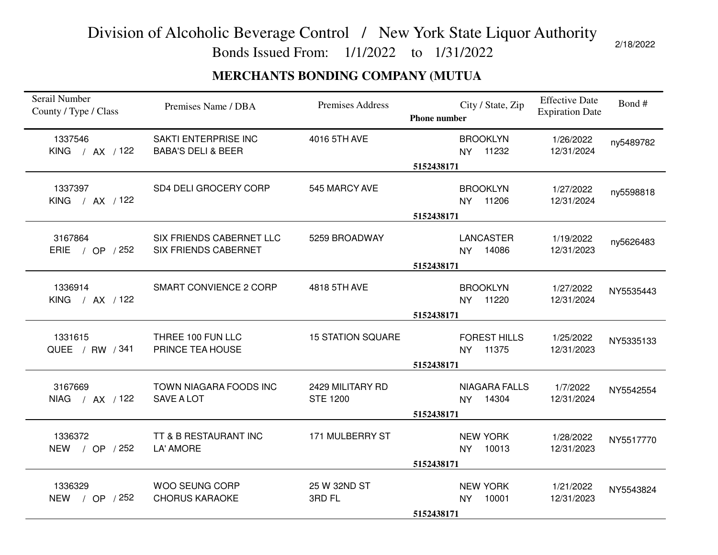Bonds Issued From: 1/1/2022 to 1/31/2022

2/18/2022

### **MERCHANTS BONDING COMPANY (MUTUA**

| Serail Number<br>County / Type / Class | Premises Name / DBA                                     | <b>Premises Address</b>             | City / State, Zip<br><b>Phone number</b>                | <b>Effective Date</b><br><b>Expiration Date</b> | Bond#     |
|----------------------------------------|---------------------------------------------------------|-------------------------------------|---------------------------------------------------------|-------------------------------------------------|-----------|
| 1337546<br>KING / AX / 122             | SAKTI ENTERPRISE INC<br><b>BABA'S DELI &amp; BEER</b>   | 4016 5TH AVE                        | <b>BROOKLYN</b><br>11232<br><b>NY</b>                   | 1/26/2022<br>12/31/2024                         | ny5489782 |
|                                        |                                                         |                                     | 5152438171                                              |                                                 |           |
| 1337397<br>KING / AX / 122             | SD4 DELI GROCERY CORP                                   | 545 MARCY AVE                       | <b>BROOKLYN</b><br>11206<br><b>NY</b>                   | 1/27/2022<br>12/31/2024                         | ny5598818 |
|                                        |                                                         |                                     | 5152438171                                              |                                                 |           |
| 3167864<br>ERIE / OP / 252             | SIX FRIENDS CABERNET LLC<br><b>SIX FRIENDS CABERNET</b> | 5259 BROADWAY                       | <b>LANCASTER</b><br>NY 14086                            | 1/19/2022<br>12/31/2023                         | ny5626483 |
|                                        |                                                         |                                     | 5152438171                                              |                                                 |           |
| 1336914<br>KING / AX / 122             | <b>SMART CONVIENCE 2 CORP</b>                           | 4818 5TH AVE                        | <b>BROOKLYN</b><br>11220<br>NY.                         | 1/27/2022<br>12/31/2024                         | NY5535443 |
|                                        |                                                         |                                     | 5152438171                                              |                                                 |           |
| 1331615<br>QUEE / RW / 341             | THREE 100 FUN LLC<br>PRINCE TEA HOUSE                   | <b>15 STATION SQUARE</b>            | <b>FOREST HILLS</b><br>11375<br><b>NY</b><br>5152438171 | 1/25/2022<br>12/31/2023                         | NY5335133 |
|                                        |                                                         |                                     |                                                         |                                                 |           |
| 3167669<br>NIAG / AX / 122             | TOWN NIAGARA FOODS INC<br>SAVE A LOT                    | 2429 MILITARY RD<br><b>STE 1200</b> | <b>NIAGARA FALLS</b><br>14304<br><b>NY</b>              | 1/7/2022<br>12/31/2024                          | NY5542554 |
|                                        |                                                         |                                     | 5152438171                                              |                                                 |           |
| 1336372<br>NEW / OP / 252              | TT & B RESTAURANT INC<br>LA' AMORE                      | 171 MULBERRY ST                     | <b>NEW YORK</b><br>10013<br><b>NY</b>                   | 1/28/2022<br>12/31/2023                         | NY5517770 |
|                                        |                                                         |                                     | 5152438171                                              |                                                 |           |
| 1336329<br>NEW / OP / 252              | WOO SEUNG CORP<br><b>CHORUS KARAOKE</b>                 | 25 W 32ND ST<br>3RD FL              | <b>NEW YORK</b><br>10001<br>NY                          | 1/21/2022<br>12/31/2023                         | NY5543824 |
|                                        |                                                         |                                     | 5152438171                                              |                                                 |           |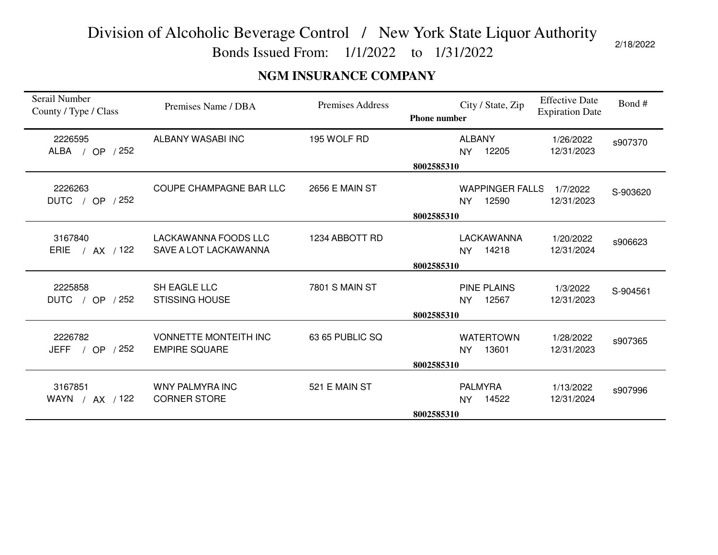Bonds Issued From: 1/1/2022 to 1/31/2022

### **NGM INSURANCE COMPANY**

| Serail Number<br>County / Type / Class                    | Premises Name / DBA                           | Premises Address      | <b>Effective Date</b><br>Bond#<br>City / State, Zip<br><b>Expiration Date</b><br><b>Phone number</b> |
|-----------------------------------------------------------|-----------------------------------------------|-----------------------|------------------------------------------------------------------------------------------------------|
| 2226595<br>ALBA / OP / 252                                | ALBANY WASABI INC                             | 195 WOLF RD           | <b>ALBANY</b><br>1/26/2022<br>s907370<br>12205<br>12/31/2023<br><b>NY</b>                            |
|                                                           |                                               |                       | 8002585310                                                                                           |
| 2226263<br><b>DUTC</b><br>/252<br><b>OP</b><br>$\sqrt{ }$ | COUPE CHAMPAGNE BAR LLC                       | <b>2656 E MAIN ST</b> | <b>WAPPINGER FALLS</b><br>1/7/2022<br>S-903620<br>12590<br><b>NY</b><br>12/31/2023                   |
|                                                           |                                               |                       | 8002585310                                                                                           |
| 3167840<br><b>ERIE</b><br>$/$ AX $/$ 122                  | LACKAWANNA FOODS LLC<br>SAVE A LOT LACKAWANNA | 1234 ABBOTT RD        | LACKAWANNA<br>1/20/2022<br>s906623<br>14218<br>12/31/2024<br><b>NY</b>                               |
|                                                           |                                               |                       | 8002585310                                                                                           |
| 2225858<br>/252<br><b>DUTC</b><br>/ OP                    | SH EAGLE LLC<br><b>STISSING HOUSE</b>         | <b>7801 S MAIN ST</b> | <b>PINE PLAINS</b><br>1/3/2022<br>S-904561<br>12567<br>12/31/2023<br><b>NY</b>                       |
|                                                           |                                               |                       | 8002585310                                                                                           |
| 2226782<br>/ OP $/252$<br><b>JEFF</b>                     | VONNETTE MONTEITH INC<br><b>EMPIRE SQUARE</b> | 63 65 PUBLIC SQ       | <b>WATERTOWN</b><br>1/28/2022<br>s907365<br>13601<br>12/31/2023<br>NY.                               |
|                                                           |                                               |                       | 8002585310                                                                                           |
| 3167851<br>WAYN / AX / 122                                | WNY PALMYRA INC<br><b>CORNER STORE</b>        | 521 E MAIN ST         | <b>PALMYRA</b><br>1/13/2022<br>s907996<br>14522<br>12/31/2024<br><b>NY</b>                           |
|                                                           |                                               |                       | 8002585310                                                                                           |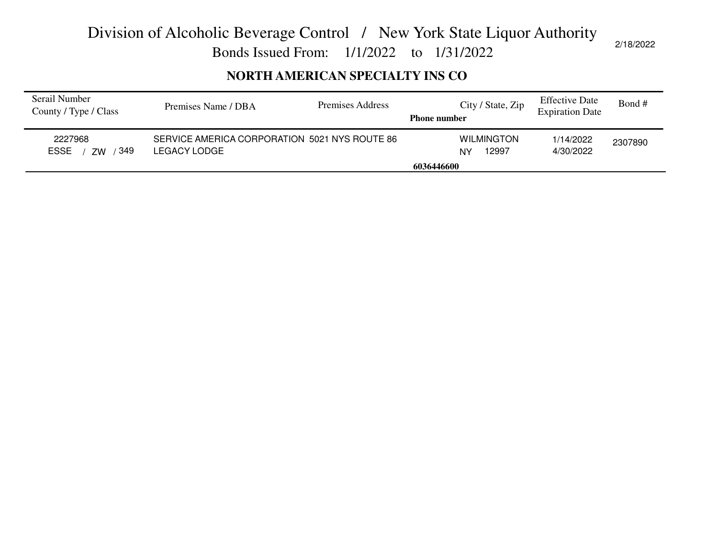Bonds Issued From: 1/1/2022 to 1/31/2022

### **NORTH AMERICAN SPECIALTY INS CO**

| Serail Number<br>County / Type / Class | Premises Name / DBA                                           | Premises Address | City / State, Zip<br><b>Phone number</b> | <b>Effective Date</b><br><b>Expiration Date</b> | Bond #  |
|----------------------------------------|---------------------------------------------------------------|------------------|------------------------------------------|-------------------------------------------------|---------|
| 2227968<br>349<br><b>ESSE</b><br>7W    | SERVICE AMERICA CORPORATION 5021 NYS ROUTE 86<br>LEGACY LODGE |                  | <b>WILMINGTON</b><br>12997<br>NY         | 1/14/2022<br>4/30/2022                          | 2307890 |
|                                        |                                                               |                  | 6036446600                               |                                                 |         |
|                                        |                                                               |                  |                                          |                                                 |         |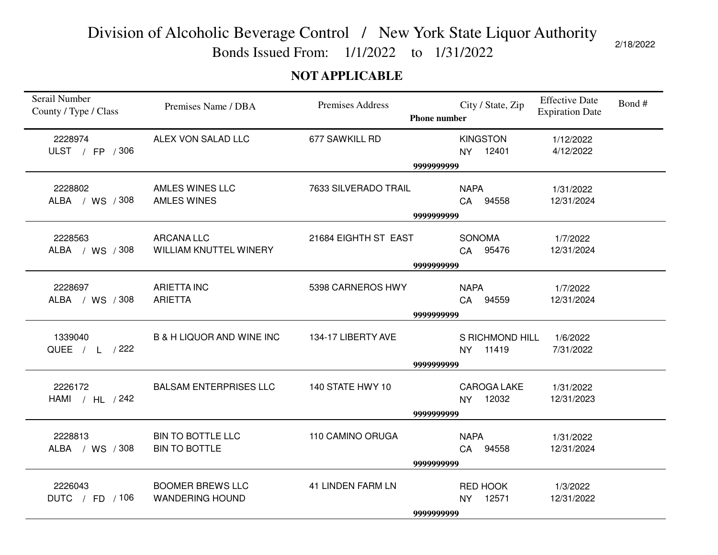Bonds Issued From: 1/1/2022 to 1/31/2022

### **NOT APPLICABLE**

| Serail Number<br>County / Type / Class | Premises Name / DBA                               | Premises Address         | City / State, Zip<br><b>Phone number</b>  | <b>Effective Date</b><br>Bond#<br><b>Expiration Date</b> |
|----------------------------------------|---------------------------------------------------|--------------------------|-------------------------------------------|----------------------------------------------------------|
| 2228974<br>ULST / FP / 306             | ALEX VON SALAD LLC                                | 677 SAWKILL RD           | <b>KINGSTON</b><br>NY 12401               | 1/12/2022<br>4/12/2022                                   |
|                                        |                                                   |                          | 9999999999                                |                                                          |
| 2228802<br>ALBA / WS / 308             | <b>AMLES WINES LLC</b><br><b>AMLES WINES</b>      | 7633 SILVERADO TRAIL     | <b>NAPA</b><br>CA 94558                   | 1/31/2022<br>12/31/2024                                  |
|                                        |                                                   |                          | 9999999999                                |                                                          |
| 2228563<br>ALBA / WS / 308             | <b>ARCANA LLC</b><br>WILLIAM KNUTTEL WINERY       | 21684 EIGHTH ST EAST     | <b>SONOMA</b><br>CA 95476                 | 1/7/2022<br>12/31/2024                                   |
|                                        |                                                   |                          | 9999999999                                |                                                          |
| 2228697<br>ALBA / WS / 308             | <b>ARIETTA INC</b><br><b>ARIETTA</b>              | 5398 CARNEROS HWY        | <b>NAPA</b><br>CA 94559                   | 1/7/2022<br>12/31/2024                                   |
|                                        |                                                   |                          | 9999999999                                |                                                          |
| 1339040<br>QUEE / L / 222              | <b>B &amp; H LIQUOR AND WINE INC</b>              | 134-17 LIBERTY AVE       | S RICHMOND HILL<br>NY 11419<br>9999999999 | 1/6/2022<br>7/31/2022                                    |
|                                        |                                                   |                          |                                           |                                                          |
| 2226172<br>HAMI / HL / 242             | <b>BALSAM ENTERPRISES LLC</b>                     | 140 STATE HWY 10         | CAROGA LAKE<br>NY 12032                   | 1/31/2022<br>12/31/2023                                  |
|                                        |                                                   |                          | 9999999999                                |                                                          |
| 2228813<br>ALBA / WS / 308             | <b>BIN TO BOTTLE LLC</b><br><b>BIN TO BOTTLE</b>  | 110 CAMINO ORUGA         | <b>NAPA</b><br>CA 94558                   | 1/31/2022<br>12/31/2024                                  |
|                                        |                                                   |                          | 9999999999                                |                                                          |
| 2226043<br>DUTC / FD / 106             | <b>BOOMER BREWS LLC</b><br><b>WANDERING HOUND</b> | <b>41 LINDEN FARM LN</b> | RED HOOK<br>NY 12571                      | 1/3/2022<br>12/31/2022                                   |
|                                        |                                                   |                          | 9999999999                                |                                                          |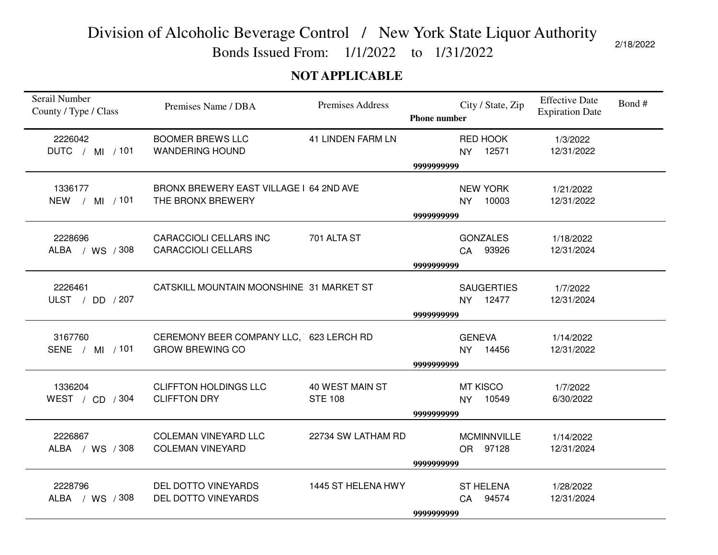Bonds Issued From: 1/1/2022 to 1/31/2022

2/18/2022

### **NOT APPLICABLE**

| Serail Number<br>County / Type / Class | Premises Name / DBA                                    | <b>Premises Address</b>  | <b>Phone number</b> | City / State, Zip              | <b>Effective Date</b><br><b>Expiration Date</b> | Bond# |
|----------------------------------------|--------------------------------------------------------|--------------------------|---------------------|--------------------------------|-------------------------------------------------|-------|
| 2226042                                | <b>BOOMER BREWS LLC</b>                                | <b>41 LINDEN FARM LN</b> |                     | RED HOOK                       | 1/3/2022                                        |       |
| DUTC / MI / 101                        | <b>WANDERING HOUND</b>                                 |                          |                     | 12571<br>NY.                   | 12/31/2022                                      |       |
|                                        |                                                        |                          | 9999999999          |                                |                                                 |       |
| 1336177                                | BRONX BREWERY EAST VILLAGE I 64 2ND AVE                |                          |                     | <b>NEW YORK</b>                | 1/21/2022                                       |       |
| NEW / MI / 101                         | THE BRONX BREWERY                                      |                          |                     | 10003<br>NY                    | 12/31/2022                                      |       |
|                                        |                                                        |                          | 9999999999          |                                |                                                 |       |
| 2228696                                | <b>CARACCIOLI CELLARS INC</b>                          | 701 ALTA ST              |                     | <b>GONZALES</b>                | 1/18/2022                                       |       |
| ALBA / WS / 308                        | <b>CARACCIOLI CELLARS</b>                              |                          |                     | CA 93926                       | 12/31/2024                                      |       |
|                                        |                                                        |                          | 9999999999          |                                |                                                 |       |
|                                        |                                                        |                          |                     |                                |                                                 |       |
| 2226461<br>ULST $/$ DD $/207$          | CATSKILL MOUNTAIN MOONSHINE 31 MARKET ST               |                          |                     | <b>SAUGERTIES</b><br>12477     | 1/7/2022<br>12/31/2024                          |       |
|                                        |                                                        |                          | 9999999999          | NY.                            |                                                 |       |
|                                        |                                                        |                          |                     |                                |                                                 |       |
| 3167760                                | CEREMONY BEER COMPANY LLC, 623 LERCH RD                |                          |                     | <b>GENEVA</b>                  | 1/14/2022                                       |       |
| SENE / MI / 101                        | <b>GROW BREWING CO</b>                                 |                          |                     | NY 14456                       | 12/31/2022                                      |       |
|                                        |                                                        |                          | 9999999999          |                                |                                                 |       |
| 1336204                                | <b>CLIFFTON HOLDINGS LLC</b>                           | 40 WEST MAIN ST          |                     | <b>MT KISCO</b>                | 1/7/2022                                        |       |
| WEST / CD / 304                        | <b>CLIFFTON DRY</b>                                    | <b>STE 108</b>           |                     | 10549<br><b>NY</b>             | 6/30/2022                                       |       |
|                                        |                                                        |                          | 9999999999          |                                |                                                 |       |
|                                        |                                                        |                          |                     |                                |                                                 |       |
| 2226867<br>ALBA / WS / 308             | <b>COLEMAN VINEYARD LLC</b><br><b>COLEMAN VINEYARD</b> | 22734 SW LATHAM RD       |                     | <b>MCMINNVILLE</b><br>OR 97128 | 1/14/2022<br>12/31/2024                         |       |
|                                        |                                                        |                          | 9999999999          |                                |                                                 |       |
|                                        |                                                        |                          |                     |                                |                                                 |       |
| 2228796                                | DEL DOTTO VINEYARDS                                    | 1445 ST HELENA HWY       |                     | <b>ST HELENA</b>               | 1/28/2022                                       |       |
| ALBA / WS / 308                        | DEL DOTTO VINEYARDS                                    |                          |                     | <b>CA</b><br>94574             | 12/31/2024                                      |       |
|                                        |                                                        |                          | 9999999999          |                                |                                                 |       |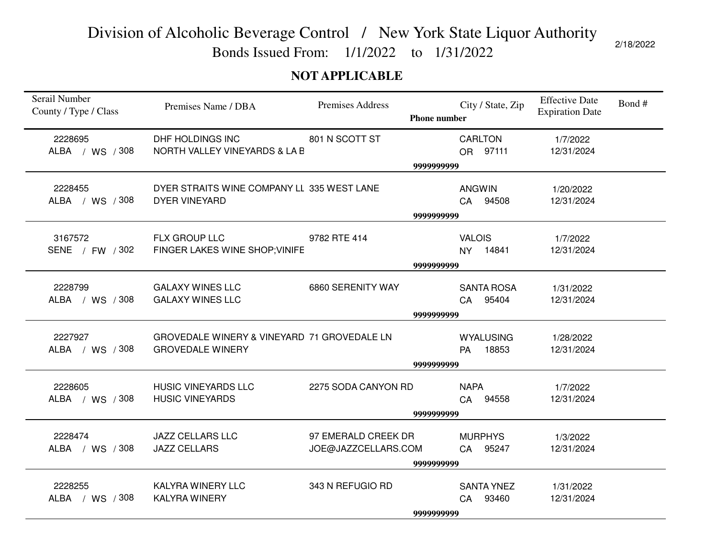Bonds Issued From: 1/1/2022 to 1/31/2022

2/18/2022

### **NOT APPLICABLE**

| Serail Number<br>County / Type / Class | Premises Name / DBA                                                    | Premises Address                           | <b>Phone number</b> | City / State, Zip                      | <b>Effective Date</b><br><b>Expiration Date</b> | Bond# |
|----------------------------------------|------------------------------------------------------------------------|--------------------------------------------|---------------------|----------------------------------------|-------------------------------------------------|-------|
| 2228695<br>ALBA / WS / 308             | DHF HOLDINGS INC<br>NORTH VALLEY VINEYARDS & LA B                      | 801 N SCOTT ST                             |                     | <b>CARLTON</b><br>OR 97111             | 1/7/2022<br>12/31/2024                          |       |
|                                        |                                                                        |                                            | 9999999999          |                                        |                                                 |       |
| 2228455<br>ALBA / WS / 308             | DYER STRAITS WINE COMPANY LL 335 WEST LANE<br><b>DYER VINEYARD</b>     |                                            |                     | <b>ANGWIN</b><br>CA 94508              | 1/20/2022<br>12/31/2024                         |       |
|                                        |                                                                        |                                            | 9999999999          |                                        |                                                 |       |
| 3167572<br>SENE / FW / 302             | FLX GROUP LLC<br>FINGER LAKES WINE SHOP; VINIFE                        | 9782 RTE 414                               |                     | <b>VALOIS</b><br>NY 14841              | 1/7/2022<br>12/31/2024                          |       |
|                                        |                                                                        |                                            | 9999999999          |                                        |                                                 |       |
| 2228799<br>ALBA / WS / 308             | <b>GALAXY WINES LLC</b><br><b>GALAXY WINES LLC</b>                     | 6860 SERENITY WAY                          |                     | <b>SANTA ROSA</b><br>95404<br>CA       | 1/31/2022<br>12/31/2024                         |       |
|                                        |                                                                        |                                            | 9999999999          |                                        |                                                 |       |
| 2227927<br>ALBA / WS / 308             | GROVEDALE WINERY & VINEYARD 71 GROVEDALE LN<br><b>GROVEDALE WINERY</b> |                                            | 9999999999          | <b>WYALUSING</b><br>18853<br><b>PA</b> | 1/28/2022<br>12/31/2024                         |       |
| 2228605<br>ALBA / WS / 308             | <b>HUSIC VINEYARDS LLC</b><br><b>HUSIC VINEYARDS</b>                   | 2275 SODA CANYON RD                        |                     | <b>NAPA</b><br>94558<br><b>CA</b>      | 1/7/2022<br>12/31/2024                          |       |
|                                        |                                                                        |                                            | 9999999999          |                                        |                                                 |       |
| 2228474<br>ALBA / WS / 308             | <b>JAZZ CELLARS LLC</b><br><b>JAZZ CELLARS</b>                         | 97 EMERALD CREEK DR<br>JOE@JAZZCELLARS.COM |                     | <b>MURPHYS</b><br>CA 95247             | 1/3/2022<br>12/31/2024                          |       |
|                                        |                                                                        |                                            | 9999999999          |                                        |                                                 |       |
| 2228255<br>ALBA / WS / 308             | <b>KALYRA WINERY LLC</b><br><b>KALYRA WINERY</b>                       | 343 N REFUGIO RD                           | 9999999999          | <b>SANTA YNEZ</b><br>93460<br>CA       | 1/31/2022<br>12/31/2024                         |       |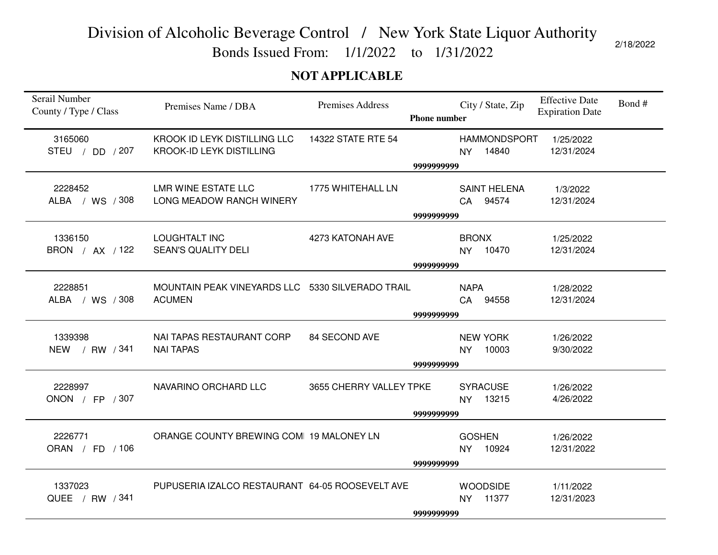Bonds Issued From: 1/1/2022 to 1/31/2022

### **NOT APPLICABLE**

| Serail Number<br>County / Type / Class | Premises Name / DBA                                               | <b>Premises Address</b> | <b>Phone number</b> | City / State, Zip                     | <b>Effective Date</b><br><b>Expiration Date</b> | Bond# |
|----------------------------------------|-------------------------------------------------------------------|-------------------------|---------------------|---------------------------------------|-------------------------------------------------|-------|
| 3165060<br>STEU / DD / 207             | KROOK ID LEYK DISTILLING LLC<br><b>KROOK-ID LEYK DISTILLING</b>   | 14322 STATE RTE 54      |                     | <b>HAMMONDSPORT</b><br>NY 14840       | 1/25/2022<br>12/31/2024                         |       |
|                                        |                                                                   |                         | 9999999999          |                                       |                                                 |       |
| 2228452<br>ALBA / WS / 308             | LMR WINE ESTATE LLC<br>LONG MEADOW RANCH WINERY                   | 1775 WHITEHALL LN       |                     | <b>SAINT HELENA</b><br>CA 94574       | 1/3/2022<br>12/31/2024                          |       |
|                                        |                                                                   |                         | 9999999999          |                                       |                                                 |       |
| 1336150<br>BRON / AX / 122             | <b>LOUGHTALT INC</b><br><b>SEAN'S QUALITY DELI</b>                | 4273 KATONAH AVE        |                     | <b>BRONX</b><br>NY 10470              | 1/25/2022<br>12/31/2024                         |       |
|                                        |                                                                   |                         | 9999999999          |                                       |                                                 |       |
| 2228851<br>ALBA / WS / 308             | MOUNTAIN PEAK VINEYARDS LLC 5330 SILVERADO TRAIL<br><b>ACUMEN</b> |                         |                     | <b>NAPA</b><br>94558<br>CA            | 1/28/2022<br>12/31/2024                         |       |
|                                        |                                                                   |                         | 9999999999          |                                       |                                                 |       |
| 1339398<br>NEW / RW / 341              | NAI TAPAS RESTAURANT CORP<br><b>NAI TAPAS</b>                     | 84 SECOND AVE           | 9999999999          | <b>NEW YORK</b><br>10003<br><b>NY</b> | 1/26/2022<br>9/30/2022                          |       |
| 2228997<br>ONON / FP / 307             | NAVARINO ORCHARD LLC                                              | 3655 CHERRY VALLEY TPKE | 9999999999          | <b>SYRACUSE</b><br>NY 13215           | 1/26/2022<br>4/26/2022                          |       |
|                                        |                                                                   |                         |                     |                                       |                                                 |       |
| 2226771<br>ORAN / FD / 106             | ORANGE COUNTY BREWING COMI 19 MALONEY LN                          |                         |                     | <b>GOSHEN</b><br>NY 10924             | 1/26/2022<br>12/31/2022                         |       |
|                                        |                                                                   |                         | 9999999999          |                                       |                                                 |       |
| 1337023<br>QUEE / RW / 341             | PUPUSERIA IZALCO RESTAURANT 64-05 ROOSEVELT AVE                   |                         | 9999999999          | <b>WOODSIDE</b><br>NY 11377           | 1/11/2022<br>12/31/2023                         |       |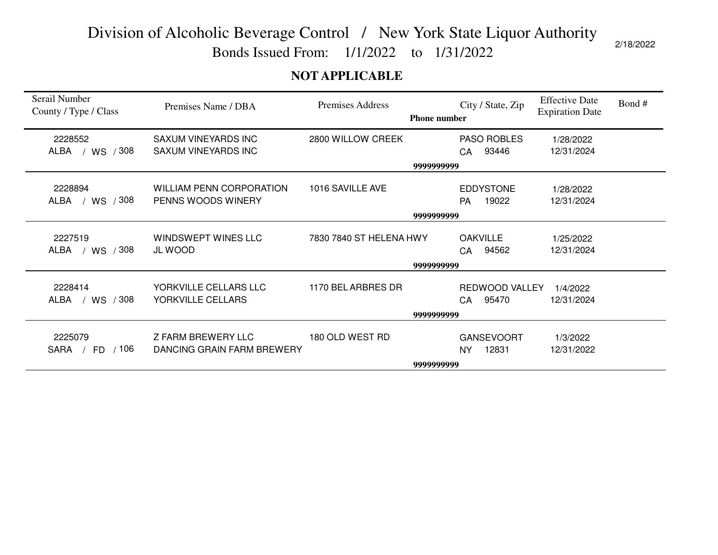Bonds Issued From: 1/1/2022 to 1/31/2022

### **NOT APPLICABLE**

| Serail Number<br>County / Type / Class | Premises Name / DBA                                     | Premises Address        | <b>Phone number</b> | City / State, Zip                       | <b>Effective Date</b><br><b>Expiration Date</b> | Bond # |
|----------------------------------------|---------------------------------------------------------|-------------------------|---------------------|-----------------------------------------|-------------------------------------------------|--------|
| 2228552                                | SAXUM VINEYARDS INC                                     | 2800 WILLOW CREEK       |                     | PASO ROBLES                             | 1/28/2022                                       |        |
| / WS / 308<br>ALBA                     | <b>SAXUM VINEYARDS INC</b>                              |                         |                     | 93446<br>CA                             | 12/31/2024                                      |        |
|                                        |                                                         |                         | 9999999999          |                                         |                                                 |        |
| 2228894<br>ALBA / WS / 308             | <b>WILLIAM PENN CORPORATION</b><br>PENNS WOODS WINERY   | 1016 SAVILLE AVE        |                     | <b>EDDYSTONE</b><br>19022<br><b>PA</b>  | 1/28/2022<br>12/31/2024                         |        |
|                                        |                                                         |                         | 9999999999          |                                         |                                                 |        |
| 2227519<br>/ 308<br>ALBA<br>/ WS       | WINDSWEPT WINES LLC<br><b>JL WOOD</b>                   | 7830 7840 ST HELENA HWY |                     | <b>OAKVILLE</b><br>94562<br>CA          | 1/25/2022<br>12/31/2024                         |        |
|                                        |                                                         |                         | 9999999999          |                                         |                                                 |        |
| 2228414<br>/ WS / 308<br>ALBA          | YORKVILLE CELLARS LLC<br>YORKVILLE CELLARS              | 1170 BEL ARBRES DR      |                     | REDWOOD VALLEY<br>95470<br>CA           | 1/4/2022<br>12/31/2024                          |        |
|                                        |                                                         |                         | 9999999999          |                                         |                                                 |        |
| 2225079<br>SARA<br>/ 106<br>FD.        | <b>Z FARM BREWERY LLC</b><br>DANCING GRAIN FARM BREWERY | 180 OLD WEST RD         |                     | <b>GANSEVOORT</b><br>12831<br><b>NY</b> | 1/3/2022<br>12/31/2022                          |        |
|                                        |                                                         |                         | 9999999999          |                                         |                                                 |        |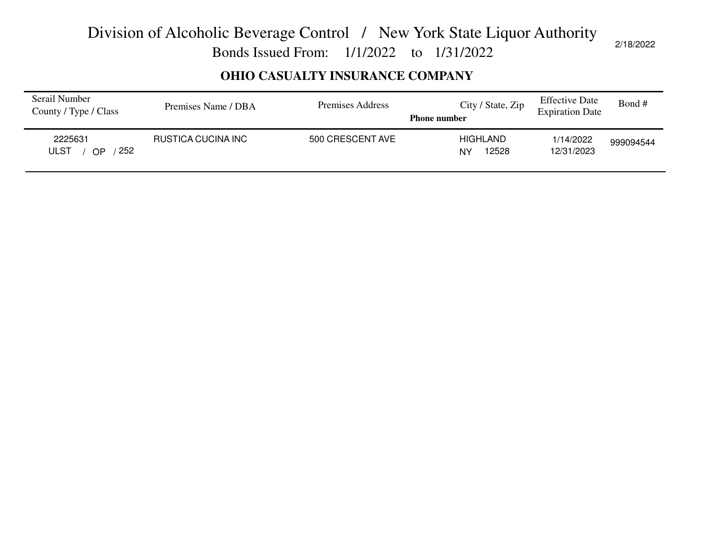Bonds Issued From: 1/1/2022 to 1/31/2022

### **OHIO CASUALTY INSURANCE COMPANY**

| Serail Number<br>County / Type / Class | Premises Name / DBA | Premises Address | City / State, Zip<br><b>Phone number</b> | <b>Effective Date</b><br><b>Expiration Date</b> | Bond #    |
|----------------------------------------|---------------------|------------------|------------------------------------------|-------------------------------------------------|-----------|
| 2225631<br>252<br><b>ULST</b><br>ΩP    | RUSTICA CUCINA INC  | 500 CRESCENT AVE | <b>HIGHLAND</b><br>12528<br><b>NY</b>    | 1/14/2022<br>12/31/2023                         | 999094544 |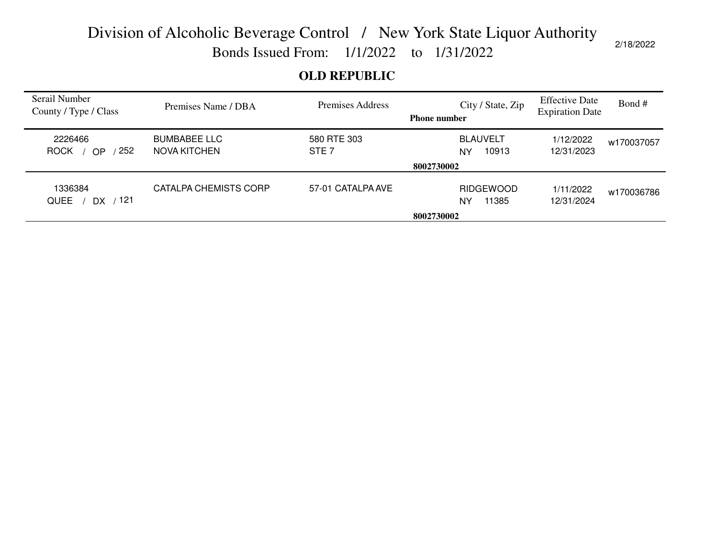Bonds Issued From: 1/1/2022 to 1/31/2022

### **OLD REPUBLIC**

| Serail Number<br>County / Type / Class     | Premises Name / DBA                 | Premises Address                | City / State, Zip<br><b>Phone number</b>     | <b>Effective Date</b><br><b>Expiration Date</b> | Bond#      |
|--------------------------------------------|-------------------------------------|---------------------------------|----------------------------------------------|-------------------------------------------------|------------|
| 2226466<br>252<br><b>ROCK</b><br><b>OP</b> | <b>BUMBABEE LLC</b><br>NOVA KITCHEN | 580 RTE 303<br>STE <sub>7</sub> | <b>BLAUVELT</b><br>10913<br>NY<br>8002730002 | 1/12/2022<br>12/31/2023                         | w170037057 |
| 1336384                                    | CATALPA CHEMISTS CORP               | 57-01 CATALPA AVE               | <b>RIDGEWOOD</b>                             |                                                 |            |
| / 121<br><b>QUEE</b><br>DX.                |                                     |                                 | 11385<br>NY                                  | 1/11/2022<br>12/31/2024                         | w170036786 |
|                                            |                                     |                                 | 8002730002                                   |                                                 |            |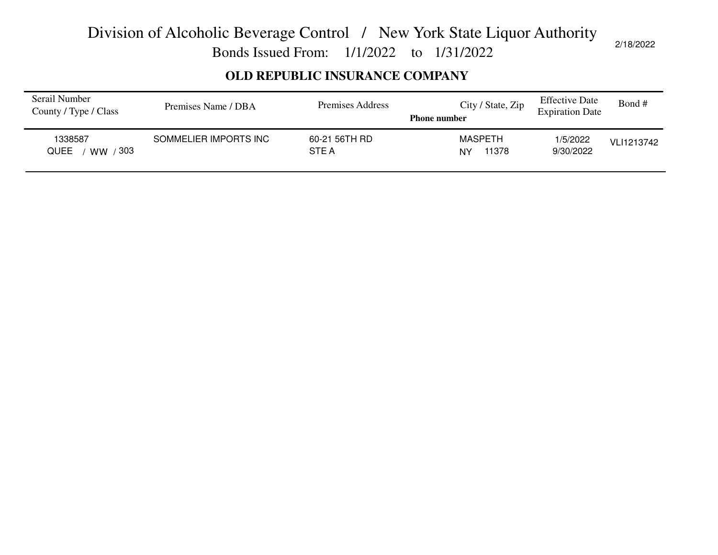Bonds Issued From: 1/1/2022 to 1/31/2022

### **OLD REPUBLIC INSURANCE COMPANY**

| Serail Number<br>County / Type / Class | Premises Name / DBA   | Premises Address             | City / State, Zip<br><b>Phone number</b> | <b>Effective Date</b><br><b>Expiration Date</b> | Bond #     |
|----------------------------------------|-----------------------|------------------------------|------------------------------------------|-------------------------------------------------|------------|
| 1338587<br>∕ 303<br><b>QUEE</b><br>ww  | SOMMELIER IMPORTS INC | 60-21 56TH RD<br><b>STEA</b> | <b>MASPETH</b><br>11378<br><b>NY</b>     | 1/5/2022<br>9/30/2022                           | VLI1213742 |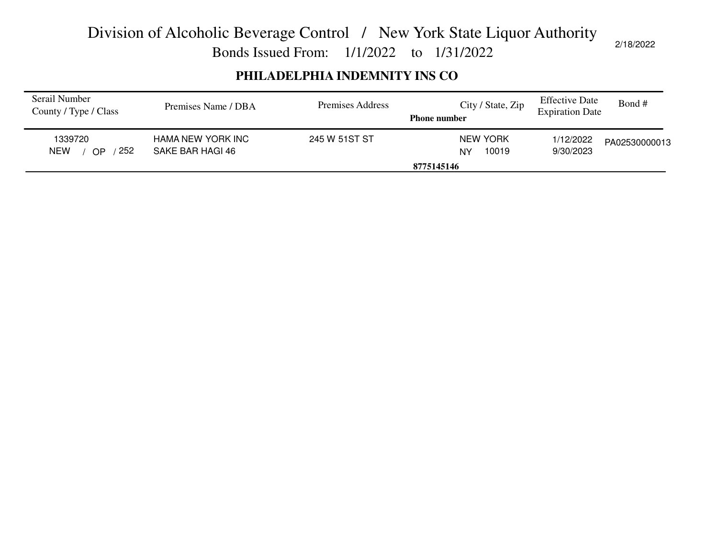Bonds Issued From: 1/1/2022 to 1/31/2022

### **PHILADELPHIA INDEMNITY INS CO**

| Serail Number<br>County / Type / Class | Premises Name / DBA                   | Premises Address | City / State, Zip<br><b>Phone number</b> | <b>Effective Date</b><br><b>Expiration Date</b> | Bond#         |
|----------------------------------------|---------------------------------------|------------------|------------------------------------------|-------------------------------------------------|---------------|
| 1339720<br>252<br><b>NEW</b><br>OP     | HAMA NEW YORK INC<br>SAKE BAR HAGI 46 | 245 W 51ST ST    | <b>NEW YORK</b><br>10019<br>NY           | 1/12/2022<br>9/30/2023                          | PA02530000013 |
|                                        |                                       |                  | 8775145146                               |                                                 |               |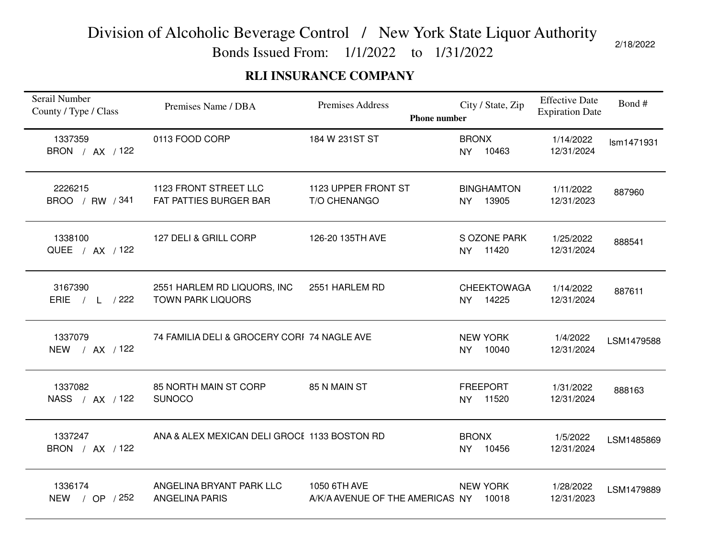Bonds Issued From: 1/1/2022 to 1/31/2022

### **RLI INSURANCE COMPANY**

| Serail Number<br>County / Type / Class | Premises Name / DBA                                     | Premises Address<br><b>Phone number</b>         | City / State, Zip                  | <b>Effective Date</b><br><b>Expiration Date</b> | Bond#      |
|----------------------------------------|---------------------------------------------------------|-------------------------------------------------|------------------------------------|-------------------------------------------------|------------|
| 1337359<br>BRON / AX / 122             | 0113 FOOD CORP                                          | 184 W 231ST ST                                  | <b>BRONX</b><br>10463<br><b>NY</b> | 1/14/2022<br>12/31/2024                         | Ism1471931 |
| 2226215<br>BROO / RW / 341             | 1123 FRONT STREET LLC<br>FAT PATTIES BURGER BAR         | 1123 UPPER FRONT ST<br>T/O CHENANGO             | <b>BINGHAMTON</b><br>NY 13905      | 1/11/2022<br>12/31/2023                         | 887960     |
| 1338100<br>QUEE / AX / 122             | 127 DELI & GRILL CORP                                   | 126-20 135TH AVE                                | S OZONE PARK<br>11420<br><b>NY</b> | 1/25/2022<br>12/31/2024                         | 888541     |
| 3167390<br>ERIE $/ L / 222$            | 2551 HARLEM RD LIQUORS, INC<br><b>TOWN PARK LIQUORS</b> | 2551 HARLEM RD                                  | <b>CHEEKTOWAGA</b><br>NY 14225     | 1/14/2022<br>12/31/2024                         | 887611     |
| 1337079<br>NEW / AX / 122              | 74 FAMILIA DELI & GROCERY CORI 74 NAGLE AVE             |                                                 | <b>NEW YORK</b><br>10040<br>NY     | 1/4/2022<br>12/31/2024                          | LSM1479588 |
| 1337082<br>NASS / AX / 122             | 85 NORTH MAIN ST CORP<br><b>SUNOCO</b>                  | 85 N MAIN ST                                    | <b>FREEPORT</b><br>NY 11520        | 1/31/2022<br>12/31/2024                         | 888163     |
| 1337247<br>BRON / AX / 122             | ANA & ALEX MEXICAN DELI GROCE 1133 BOSTON RD            |                                                 | <b>BRONX</b><br>10456<br>NY        | 1/5/2022<br>12/31/2024                          | LSM1485869 |
| 1336174<br>NEW / OP / 252              | ANGELINA BRYANT PARK LLC<br><b>ANGELINA PARIS</b>       | 1050 6TH AVE<br>A/K/A AVENUE OF THE AMERICAS NY | <b>NEW YORK</b><br>10018           | 1/28/2022<br>12/31/2023                         | LSM1479889 |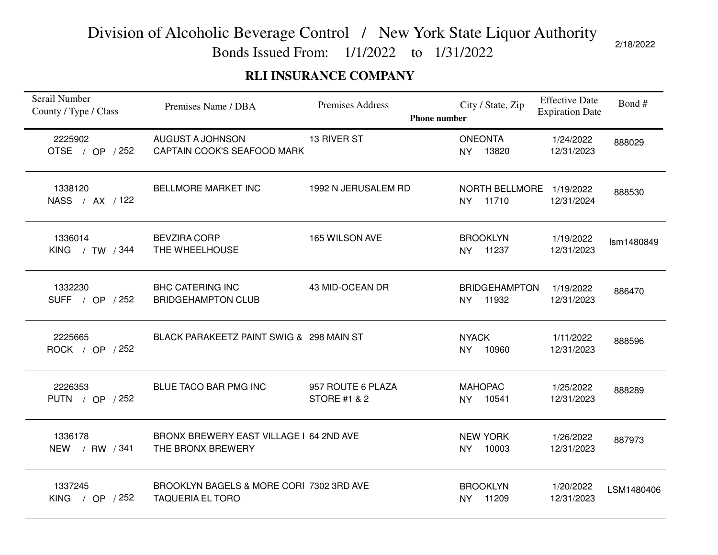Bonds Issued From: 1/1/2022 to 1/31/2022

### **RLI INSURANCE COMPANY**

| Serail Number<br>County / Type / Class | Premises Name / DBA                                                 | Premises Address<br><b>Phone number</b>      | City / State, Zip                          | <b>Effective Date</b><br><b>Expiration Date</b> | Bond#      |
|----------------------------------------|---------------------------------------------------------------------|----------------------------------------------|--------------------------------------------|-------------------------------------------------|------------|
| 2225902<br>OTSE / OP / 252             | AUGUST A JOHNSON<br>CAPTAIN COOK'S SEAFOOD MARK                     | 13 RIVER ST                                  | <b>ONEONTA</b><br>13820<br>NY              | 1/24/2022<br>12/31/2023                         | 888029     |
| 1338120<br>NASS / AX / 122             | <b>BELLMORE MARKET INC</b>                                          | 1992 N JERUSALEM RD                          | NORTH BELLMORE<br>11710<br><b>NY</b>       | 1/19/2022<br>12/31/2024                         | 888530     |
| 1336014<br>KING $/$ TW $/344$          | <b>BEVZIRA CORP</b><br>THE WHEELHOUSE                               | 165 WILSON AVE                               | <b>BROOKLYN</b><br>11237<br>NY.            | 1/19/2022<br>12/31/2023                         | Ism1480849 |
| 1332230<br>SUFF / OP / 252             | <b>BHC CATERING INC</b><br><b>BRIDGEHAMPTON CLUB</b>                | 43 MID-OCEAN DR                              | <b>BRIDGEHAMPTON</b><br><b>NY</b><br>11932 | 1/19/2022<br>12/31/2023                         | 886470     |
| 2225665<br>ROCK / OP / 252             | BLACK PARAKEETZ PAINT SWIG & 298 MAIN ST                            |                                              | <b>NYACK</b><br>10960<br><b>NY</b>         | 1/11/2022<br>12/31/2023                         | 888596     |
| 2226353<br>PUTN / OP / 252             | BLUE TACO BAR PMG INC                                               | 957 ROUTE 6 PLAZA<br><b>STORE #1 &amp; 2</b> | <b>MAHOPAC</b><br>NY 10541                 | 1/25/2022<br>12/31/2023                         | 888289     |
| 1336178<br>NEW / RW / 341              | BRONX BREWERY EAST VILLAGE I 64 2ND AVE<br>THE BRONX BREWERY        |                                              | <b>NEW YORK</b><br>10003<br><b>NY</b>      | 1/26/2022<br>12/31/2023                         | 887973     |
| 1337245<br><b>KING</b><br>/ OP $/252$  | BROOKLYN BAGELS & MORE CORI 7302 3RD AVE<br><b>TAQUERIA EL TORO</b> |                                              | <b>BROOKLYN</b><br>NY 11209                | 1/20/2022<br>12/31/2023                         | LSM1480406 |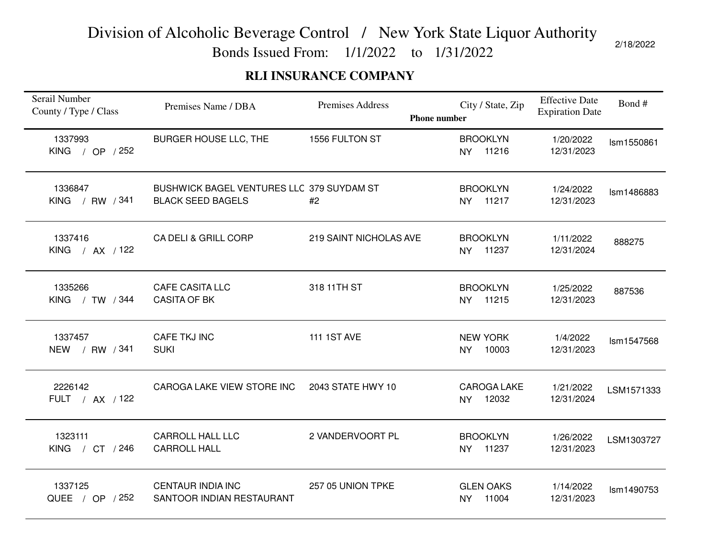Bonds Issued From: 1/1/2022 to 1/31/2022

### **RLI INSURANCE COMPANY**

| Serail Number<br>County / Type / Class   | Premises Name / DBA                                                   | Premises Address<br><b>Phone number</b> | City / State, Zip                      | <b>Effective Date</b><br><b>Expiration Date</b> | Bond#      |
|------------------------------------------|-----------------------------------------------------------------------|-----------------------------------------|----------------------------------------|-------------------------------------------------|------------|
| 1337993<br>KING / OP $/252$              | BURGER HOUSE LLC, THE                                                 | 1556 FULTON ST                          | <b>BROOKLYN</b><br>NY 11216            | 1/20/2022<br>12/31/2023                         | Ism1550861 |
| 1336847<br>KING / RW / 341               | BUSHWICK BAGEL VENTURES LLC 379 SUYDAM ST<br><b>BLACK SEED BAGELS</b> | #2                                      | <b>BROOKLYN</b><br>NY 11217            | 1/24/2022<br>12/31/2023                         | Ism1486883 |
| 1337416<br><b>KING</b><br>$/$ AX $/$ 122 | <b>CA DELI &amp; GRILL CORP</b>                                       | 219 SAINT NICHOLAS AVE                  | <b>BROOKLYN</b><br>11237<br><b>NY</b>  | 1/11/2022<br>12/31/2024                         | 888275     |
| 1335266<br>KING / TW / 344               | <b>CAFE CASITA LLC</b><br><b>CASITA OF BK</b>                         | 318 11TH ST                             | <b>BROOKLYN</b><br>NY 11215            | 1/25/2022<br>12/31/2023                         | 887536     |
| 1337457<br>/ RW / 341<br><b>NEW</b>      | CAFE TKJ INC<br><b>SUKI</b>                                           | <b>111 1ST AVE</b>                      | <b>NEW YORK</b><br>10003<br><b>NY</b>  | 1/4/2022<br>12/31/2023                          | Ism1547568 |
| 2226142<br>FULT / AX / 122               | CAROGA LAKE VIEW STORE INC                                            | 2043 STATE HWY 10                       | <b>CAROGA LAKE</b><br>NY 12032         | 1/21/2022<br>12/31/2024                         | LSM1571333 |
| 1323111<br>KING / CT / 246               | <b>CARROLL HALL LLC</b><br><b>CARROLL HALL</b>                        | 2 VANDERVOORT PL                        | <b>BROOKLYN</b><br>11237<br><b>NY</b>  | 1/26/2022<br>12/31/2023                         | LSM1303727 |
| 1337125<br>QUEE / OP / 252               | <b>CENTAUR INDIA INC</b><br>SANTOOR INDIAN RESTAURANT                 | 257 05 UNION TPKE                       | <b>GLEN OAKS</b><br>11004<br><b>NY</b> | 1/14/2022<br>12/31/2023                         | Ism1490753 |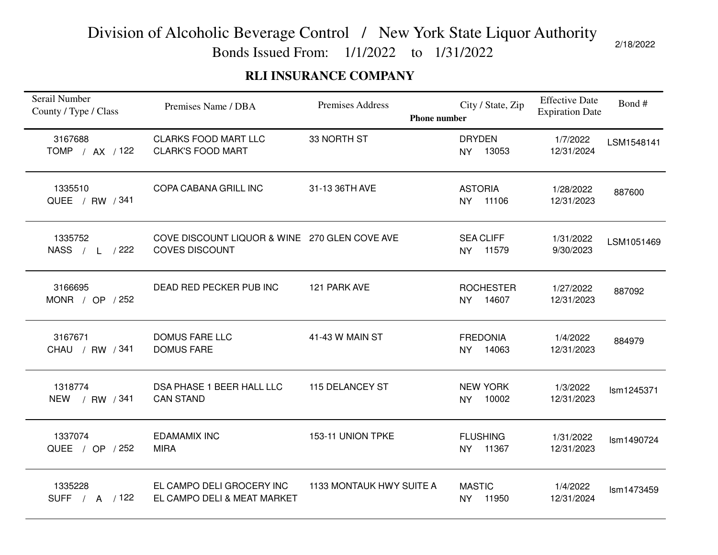Bonds Issued From: 1/1/2022 to 1/31/2022

### **RLI INSURANCE COMPANY**

| Serail Number<br>County / Type / Class | Premises Name / DBA                                                    | Premises Address         | City / State, Zip<br><b>Phone number</b> | <b>Effective Date</b><br><b>Expiration Date</b> | Bond#      |
|----------------------------------------|------------------------------------------------------------------------|--------------------------|------------------------------------------|-------------------------------------------------|------------|
| 3167688<br>TOMP / AX / 122             | <b>CLARKS FOOD MART LLC</b><br><b>CLARK'S FOOD MART</b>                | 33 NORTH ST              | <b>DRYDEN</b><br>13053<br><b>NY</b>      | 1/7/2022<br>12/31/2024                          | LSM1548141 |
| 1335510<br>QUEE / RW / 341             | COPA CABANA GRILL INC                                                  | 31-13 36TH AVE           | <b>ASTORIA</b><br>NY 11106               | 1/28/2022<br>12/31/2023                         | 887600     |
| 1335752<br>NASS / L / 222              | COVE DISCOUNT LIQUOR & WINE 270 GLEN COVE AVE<br><b>COVES DISCOUNT</b> |                          | <b>SEA CLIFF</b><br>11579<br><b>NY</b>   | 1/31/2022<br>9/30/2023                          | LSM1051469 |
| 3166695<br>MONR / OP $/252$            | DEAD RED PECKER PUB INC                                                | 121 PARK AVE             | <b>ROCHESTER</b><br>14607<br><b>NY</b>   | 1/27/2022<br>12/31/2023                         | 887092     |
| 3167671<br>CHAU / RW / 341             | <b>DOMUS FARE LLC</b><br><b>DOMUS FARE</b>                             | 41-43 W MAIN ST          | <b>FREDONIA</b><br>14063<br><b>NY</b>    | 1/4/2022<br>12/31/2023                          | 884979     |
| 1318774<br>NEW / RW / 341              | DSA PHASE 1 BEER HALL LLC<br><b>CAN STAND</b>                          | 115 DELANCEY ST          | <b>NEW YORK</b><br>10002<br>NY           | 1/3/2022<br>12/31/2023                          | Ism1245371 |
| 1337074<br>QUEE / OP / 252             | <b>EDAMAMIX INC</b><br><b>MIRA</b>                                     | 153-11 UNION TPKE        | <b>FLUSHING</b><br>11367<br><b>NY</b>    | 1/31/2022<br>12/31/2023                         | Ism1490724 |
| 1335228<br>SUFF / A / 122              | EL CAMPO DELI GROCERY INC<br>EL CAMPO DELI & MEAT MARKET               | 1133 MONTAUK HWY SUITE A | <b>MASTIC</b><br>11950<br><b>NY</b>      | 1/4/2022<br>12/31/2024                          | Ism1473459 |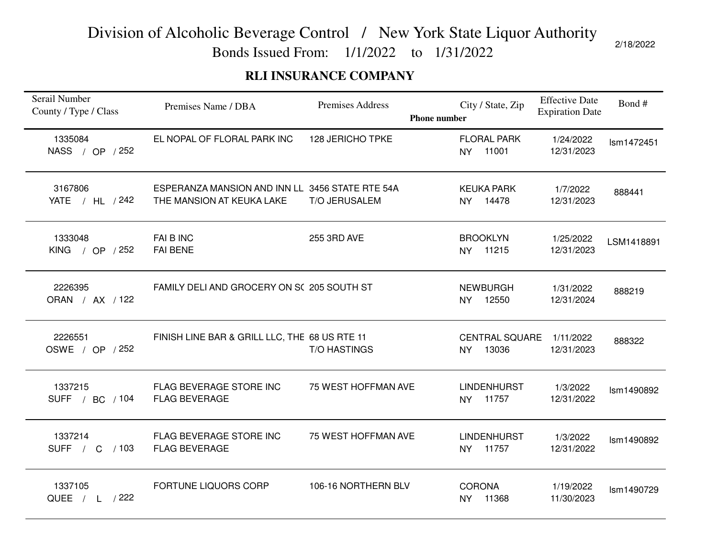Bonds Issued From: 1/1/2022 to 1/31/2022

### **RLI INSURANCE COMPANY**

| Serail Number<br>County / Type / Class | Premises Name / DBA                                                          | Premises Address     | <b>Phone number</b> | City / State, Zip                        | <b>Effective Date</b><br><b>Expiration Date</b> | Bond#      |
|----------------------------------------|------------------------------------------------------------------------------|----------------------|---------------------|------------------------------------------|-------------------------------------------------|------------|
| 1335084<br>NASS / OP / 252             | EL NOPAL OF FLORAL PARK INC                                                  | 128 JERICHO TPKE     |                     | <b>FLORAL PARK</b><br>11001<br><b>NY</b> | 1/24/2022<br>12/31/2023                         | Ism1472451 |
| 3167806<br>YATE / HL / 242             | ESPERANZA MANSION AND INN LL 3456 STATE RTE 54A<br>THE MANSION AT KEUKA LAKE | <b>T/O JERUSALEM</b> |                     | <b>KEUKA PARK</b><br>NY 14478            | 1/7/2022<br>12/31/2023                          | 888441     |
| 1333048<br>KING / OP / 252             | FAI B INC<br><b>FAI BENE</b>                                                 | 255 3RD AVE          |                     | <b>BROOKLYN</b><br>NY 11215              | 1/25/2022<br>12/31/2023                         | LSM1418891 |
| 2226395<br>ORAN / AX / 122             | FAMILY DELI AND GROCERY ON SC 205 SOUTH ST                                   |                      |                     | <b>NEWBURGH</b><br>NY 12550              | 1/31/2022<br>12/31/2024                         | 888219     |
| 2226551<br>OSWE / OP / 252             | FINISH LINE BAR & GRILL LLC, THE 68 US RTE 11                                | <b>T/O HASTINGS</b>  |                     | <b>CENTRAL SQUARE</b><br>13036<br>NY     | 1/11/2022<br>12/31/2023                         | 888322     |
| 1337215<br>SUFF / BC / 104             | FLAG BEVERAGE STORE INC<br><b>FLAG BEVERAGE</b>                              | 75 WEST HOFFMAN AVE  |                     | <b>LINDENHURST</b><br>NY 11757           | 1/3/2022<br>12/31/2022                          | Ism1490892 |
| 1337214<br>SUFF / C<br>/103            | FLAG BEVERAGE STORE INC<br><b>FLAG BEVERAGE</b>                              | 75 WEST HOFFMAN AVE  |                     | <b>LINDENHURST</b><br>11757<br><b>NY</b> | 1/3/2022<br>12/31/2022                          | Ism1490892 |
| 1337105<br>QUEE / L / 222              | FORTUNE LIQUORS CORP                                                         | 106-16 NORTHERN BLV  |                     | <b>CORONA</b><br>NY 11368                | 1/19/2022<br>11/30/2023                         | Ism1490729 |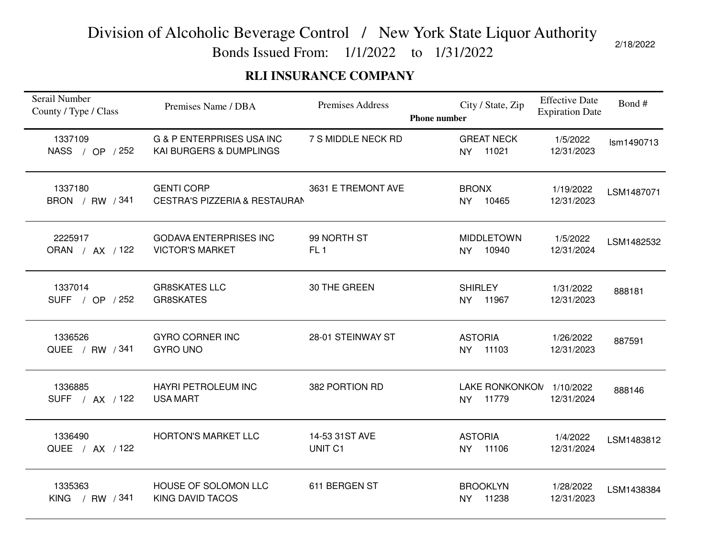Bonds Issued From: 1/1/2022 to 1/31/2022

### **RLI INSURANCE COMPANY**

| Serail Number<br>County / Type / Class | Premises Name / DBA                                             | Premises Address               | <b>Phone number</b> |                             | City / State, Zip                 | <b>Effective Date</b><br><b>Expiration Date</b> | Bond#      |
|----------------------------------------|-----------------------------------------------------------------|--------------------------------|---------------------|-----------------------------|-----------------------------------|-------------------------------------------------|------------|
| 1337109<br>NASS / OP / 252             | <b>G &amp; P ENTERPRISES USA INC</b><br>KAI BURGERS & DUMPLINGS | 7 S MIDDLE NECK RD             |                     | <b>NY</b>                   | <b>GREAT NECK</b><br>11021        | 1/5/2022<br>12/31/2023                          | Ism1490713 |
| 1337180<br>BRON / RW / 341             | <b>GENTI CORP</b><br><b>CESTRA'S PIZZERIA &amp; RESTAURAN</b>   | 3631 E TREMONT AVE             |                     | <b>BRONX</b><br><b>NY</b>   | 10465                             | 1/19/2022<br>12/31/2023                         | LSM1487071 |
| 2225917<br>ORAN / AX / 122             | <b>GODAVA ENTERPRISES INC</b><br><b>VICTOR'S MARKET</b>         | 99 NORTH ST<br>FL <sub>1</sub> |                     | <b>NY</b>                   | <b>MIDDLETOWN</b><br>10940        | 1/5/2022<br>12/31/2024                          | LSM1482532 |
| 1337014<br>SUFF / OP / 252             | <b>GR8SKATES LLC</b><br><b>GR8SKATES</b>                        | 30 THE GREEN                   |                     | <b>SHIRLEY</b>              | NY 11967                          | 1/31/2022<br>12/31/2023                         | 888181     |
| 1336526<br>QUEE / RW / 341             | <b>GYRO CORNER INC</b><br><b>GYRO UNO</b>                       | 28-01 STEINWAY ST              |                     | <b>ASTORIA</b><br><b>NY</b> | 11103                             | 1/26/2022<br>12/31/2023                         | 887591     |
| 1336885<br>SUFF / AX / 122             | <b>HAYRI PETROLEUM INC</b><br><b>USA MART</b>                   | 382 PORTION RD                 |                     | NY                          | LAKE RONKONKON 1/10/2022<br>11779 | 12/31/2024                                      | 888146     |
| 1336490<br>QUEE / AX / 122             | <b>HORTON'S MARKET LLC</b>                                      | 14-53 31ST AVE<br>UNIT C1      |                     | <b>ASTORIA</b><br><b>NY</b> | 11106                             | 1/4/2022<br>12/31/2024                          | LSM1483812 |
| 1335363<br><b>KING</b><br>/ RW / 341   | HOUSE OF SOLOMON LLC<br><b>KING DAVID TACOS</b>                 | 611 BERGEN ST                  |                     | <b>NY</b>                   | <b>BROOKLYN</b><br>11238          | 1/28/2022<br>12/31/2023                         | LSM1438384 |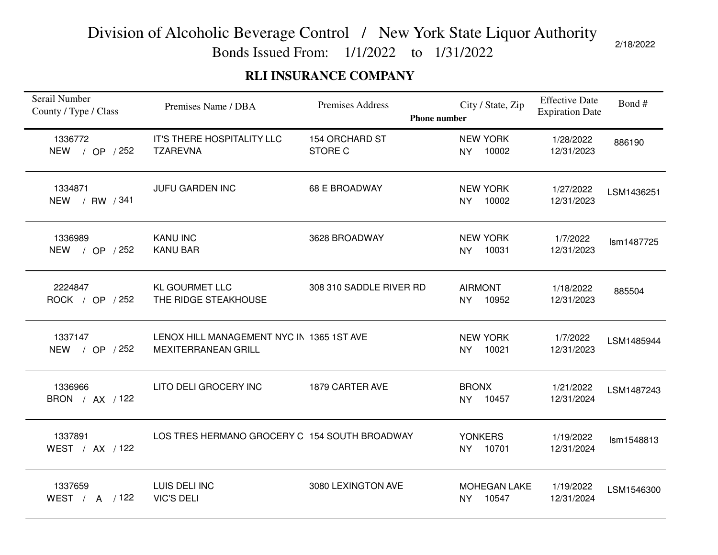Bonds Issued From: 1/1/2022 to 1/31/2022

### **RLI INSURANCE COMPANY**

| Serail Number<br>County / Type / Class | Premises Name / DBA                                                     | <b>Premises Address</b>                 | <b>Phone number</b> | City / State, Zip            | <b>Effective Date</b><br><b>Expiration Date</b> | Bond#      |
|----------------------------------------|-------------------------------------------------------------------------|-----------------------------------------|---------------------|------------------------------|-------------------------------------------------|------------|
| 1336772<br>NEW / OP / 252              | IT'S THERE HOSPITALITY LLC<br><b>TZAREVNA</b>                           | <b>154 ORCHARD ST</b><br><b>STORE C</b> | <b>NY</b>           | <b>NEW YORK</b><br>10002     | 1/28/2022<br>12/31/2023                         | 886190     |
| 1334871<br>NEW / RW / 341              | JUFU GARDEN INC                                                         | <b>68 E BROADWAY</b>                    | <b>NY</b>           | <b>NEW YORK</b><br>10002     | 1/27/2022<br>12/31/2023                         | LSM1436251 |
| 1336989<br>NEW / OP / 252              | <b>KANU INC</b><br><b>KANU BAR</b>                                      | 3628 BROADWAY                           | <b>NY</b>           | <b>NEW YORK</b><br>10031     | 1/7/2022<br>12/31/2023                          | Ism1487725 |
| 2224847<br>ROCK / OP / 252             | <b>KL GOURMET LLC</b><br>THE RIDGE STEAKHOUSE                           | 308 310 SADDLE RIVER RD                 |                     | <b>AIRMONT</b><br>NY 10952   | 1/18/2022<br>12/31/2023                         | 885504     |
| 1337147<br>NEW / OP / 252              | LENOX HILL MANAGEMENT NYC IN 1365 1ST AVE<br><b>MEXITERRANEAN GRILL</b> |                                         | <b>NY</b>           | <b>NEW YORK</b><br>10021     | 1/7/2022<br>12/31/2023                          | LSM1485944 |
| 1336966<br>BRON / AX / 122             | LITO DELI GROCERY INC                                                   | 1879 CARTER AVE                         |                     | <b>BRONX</b><br>NY 10457     | 1/21/2022<br>12/31/2024                         | LSM1487243 |
| 1337891<br>WEST / AX / 122             | LOS TRES HERMANO GROCERY C 154 SOUTH BROADWAY                           |                                         | <b>NY</b>           | <b>YONKERS</b><br>10701      | 1/19/2022<br>12/31/2024                         | Ism1548813 |
| 1337659<br>WEST / A / 122              | LUIS DELI INC<br><b>VIC'S DELI</b>                                      | 3080 LEXINGTON AVE                      | <b>NY</b>           | <b>MOHEGAN LAKE</b><br>10547 | 1/19/2022<br>12/31/2024                         | LSM1546300 |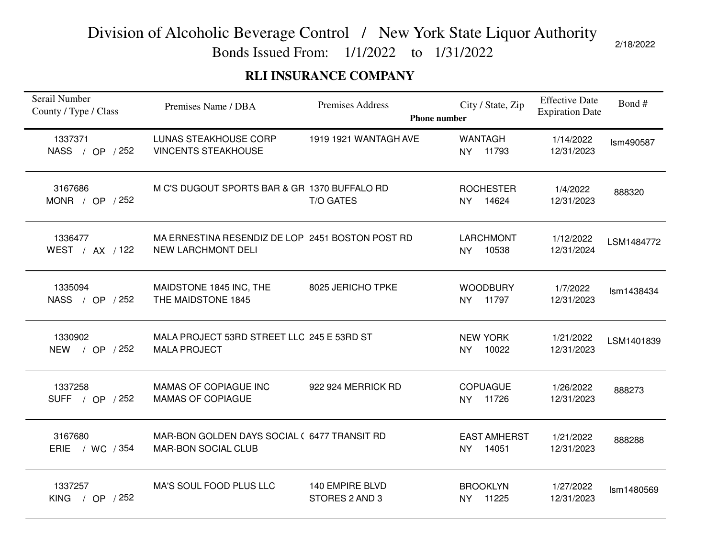Bonds Issued From: 1/1/2022 to 1/31/2022

### **RLI INSURANCE COMPANY**

| Serail Number<br>County / Type / Class | Premises Name / DBA                                                           | Premises Address<br><b>Phone number</b> | City / State, Zip                         | <b>Effective Date</b><br><b>Expiration Date</b> | Bond#      |
|----------------------------------------|-------------------------------------------------------------------------------|-----------------------------------------|-------------------------------------------|-------------------------------------------------|------------|
| 1337371<br>NASS / OP / 252             | <b>LUNAS STEAKHOUSE CORP</b><br><b>VINCENTS STEAKHOUSE</b>                    | 1919 1921 WANTAGH AVE                   | <b>WANTAGH</b><br>11793<br><b>NY</b>      | 1/14/2022<br>12/31/2023                         | Ism490587  |
| 3167686<br>MONR / OP / 252             | M C'S DUGOUT SPORTS BAR & GR 1370 BUFFALO RD                                  | <b>T/O GATES</b>                        | <b>ROCHESTER</b><br>NY 14624              | 1/4/2022<br>12/31/2023                          | 888320     |
| 1336477<br>WEST / AX / 122             | MA ERNESTINA RESENDIZ DE LOP 2451 BOSTON POST RD<br><b>NEW LARCHMONT DELI</b> |                                         | <b>LARCHMONT</b><br>10538<br><b>NY</b>    | 1/12/2022<br>12/31/2024                         | LSM1484772 |
| 1335094<br>NASS / OP / 252             | MAIDSTONE 1845 INC, THE<br>THE MAIDSTONE 1845                                 | 8025 JERICHO TPKE                       | <b>WOODBURY</b><br>NY 11797               | 1/7/2022<br>12/31/2023                          | Ism1438434 |
| 1330902<br>NEW / OP / 252              | MALA PROJECT 53RD STREET LLC 245 E 53RD ST<br><b>MALA PROJECT</b>             |                                         | <b>NEW YORK</b><br>10022<br><b>NY</b>     | 1/21/2022<br>12/31/2023                         | LSM1401839 |
| 1337258<br>SUFF / OP / 252             | <b>MAMAS OF COPIAGUE INC</b><br><b>MAMAS OF COPIAGUE</b>                      | 922 924 MERRICK RD                      | <b>COPUAGUE</b><br>NY 11726               | 1/26/2022<br>12/31/2023                         | 888273     |
| 3167680<br>ERIE / WC / 354             | MAR-BON GOLDEN DAYS SOCIAL (6477 TRANSIT RD<br><b>MAR-BON SOCIAL CLUB</b>     |                                         | <b>EAST AMHERST</b><br>14051<br><b>NY</b> | 1/21/2022<br>12/31/2023                         | 888288     |
| 1337257<br><b>KING</b><br>/ OP $/252$  | MA'S SOUL FOOD PLUS LLC                                                       | 140 EMPIRE BLVD<br>STORES 2 AND 3       | <b>BROOKLYN</b><br>11225<br><b>NY</b>     | 1/27/2022<br>12/31/2023                         | Ism1480569 |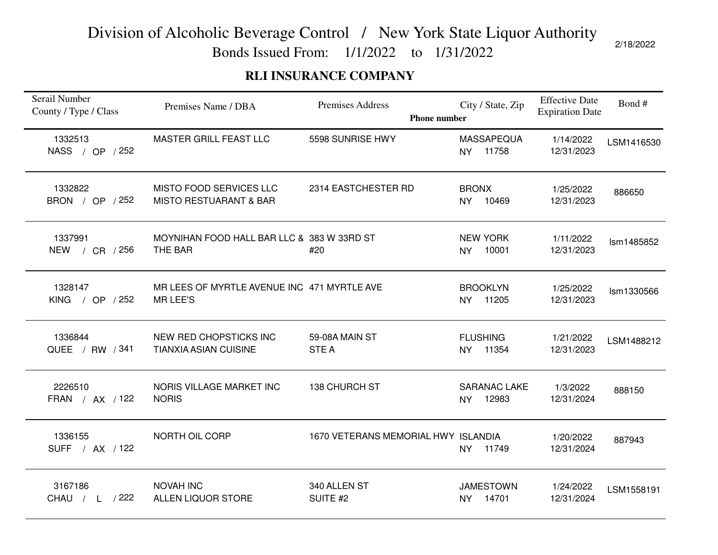Bonds Issued From: 1/1/2022 to 1/31/2022

### **RLI INSURANCE COMPANY**

| Serail Number<br>County / Type / Class | Premises Name / DBA                                            | Premises Address<br><b>Phone number</b> | City / State, Zip                         | <b>Effective Date</b><br><b>Expiration Date</b> | Bond#      |
|----------------------------------------|----------------------------------------------------------------|-----------------------------------------|-------------------------------------------|-------------------------------------------------|------------|
| 1332513<br>NASS / OP / 252             | <b>MASTER GRILL FEAST LLC</b>                                  | 5598 SUNRISE HWY                        | <b>MASSAPEQUA</b><br>11758<br><b>NY</b>   | 1/14/2022<br>12/31/2023                         | LSM1416530 |
| 1332822<br>BRON / OP / 252             | MISTO FOOD SERVICES LLC<br><b>MISTO RESTUARANT &amp; BAR</b>   | 2314 EASTCHESTER RD                     | <b>BRONX</b><br><b>NY</b><br>10469        | 1/25/2022<br>12/31/2023                         | 886650     |
| 1337991<br>/ $CR$ / 256<br><b>NEW</b>  | MOYNIHAN FOOD HALL BAR LLC & 383 W 33RD ST<br>THE BAR          | #20                                     | <b>NEW YORK</b><br>10001<br><b>NY</b>     | 1/11/2022<br>12/31/2023                         | Ism1485852 |
| 1328147<br>KING / OP $/252$            | MR LEES OF MYRTLE AVENUE INC 471 MYRTLE AVE<br><b>MR LEE'S</b> |                                         | <b>BROOKLYN</b><br>NY 11205               | 1/25/2022<br>12/31/2023                         | Ism1330566 |
| 1336844<br>QUEE / RW / 341             | NEW RED CHOPSTICKS INC<br><b>TIANXIA ASIAN CUISINE</b>         | 59-08A MAIN ST<br><b>STEA</b>           | <b>FLUSHING</b><br>11354<br><b>NY</b>     | 1/21/2022<br>12/31/2023                         | LSM1488212 |
| 2226510<br>FRAN / AX / 122             | NORIS VILLAGE MARKET INC<br><b>NORIS</b>                       | <b>138 CHURCH ST</b>                    | <b>SARANAC LAKE</b><br>12983<br><b>NY</b> | 1/3/2022<br>12/31/2024                          | 888150     |
| 1336155<br>SUFF / AX / 122             | NORTH OIL CORP                                                 | 1670 VETERANS MEMORIAL HWY ISLANDIA     | 11749<br>NY                               | 1/20/2022<br>12/31/2024                         | 887943     |
| 3167186<br>$/$ L $/$ 222<br>CHAU       | <b>NOVAH INC</b><br><b>ALLEN LIQUOR STORE</b>                  | 340 ALLEN ST<br>SUITE #2                | <b>JAMESTOWN</b><br>14701<br><b>NY</b>    | 1/24/2022<br>12/31/2024                         | LSM1558191 |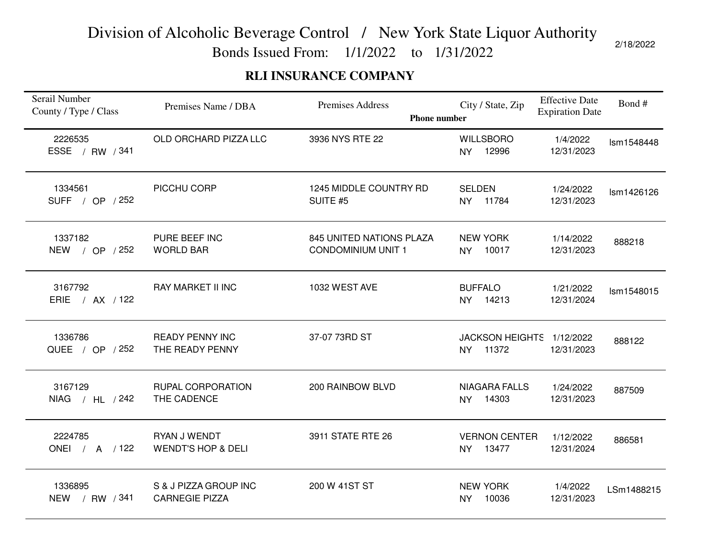Bonds Issued From: 1/1/2022 to 1/31/2022

### **RLI INSURANCE COMPANY**

| Serail Number<br>County / Type / Class | Premises Name / DBA                            | <b>Premises Address</b><br><b>Phone number</b>        | City / State, Zip                        | <b>Effective Date</b><br><b>Expiration Date</b> | Bond#      |
|----------------------------------------|------------------------------------------------|-------------------------------------------------------|------------------------------------------|-------------------------------------------------|------------|
| 2226535<br><b>ESSE</b><br>/ RW / 341   | OLD ORCHARD PIZZA LLC                          | 3936 NYS RTE 22                                       | <b>WILLSBORO</b><br><b>NY</b><br>12996   | 1/4/2022<br>12/31/2023                          | Ism1548448 |
| 1334561<br>SUFF / OP / 252             | PICCHU CORP                                    | 1245 MIDDLE COUNTRY RD<br>SUITE #5                    | <b>SELDEN</b><br>NY 11784                | 1/24/2022<br>12/31/2023                         | Ism1426126 |
| 1337182<br><b>NEW</b><br>/ OP / 252    | PURE BEEF INC<br><b>WORLD BAR</b>              | 845 UNITED NATIONS PLAZA<br><b>CONDOMINIUM UNIT 1</b> | <b>NEW YORK</b><br>10017<br>NY           | 1/14/2022<br>12/31/2023                         | 888218     |
| 3167792<br>ERIE / AX / 122             | <b>RAY MARKET II INC</b>                       | 1032 WEST AVE                                         | <b>BUFFALO</b><br>NY 14213               | 1/21/2022<br>12/31/2024                         | Ism1548015 |
| 1336786<br>QUEE / OP / 252             | <b>READY PENNY INC</b><br>THE READY PENNY      | 37-07 73RD ST                                         | JACKSON HEIGHTS 1/12/2022<br>11372<br>NY | 12/31/2023                                      | 888122     |
| 3167129<br>NIAG / HL / 242             | RUPAL CORPORATION<br>THE CADENCE               | 200 RAINBOW BLVD                                      | <b>NIAGARA FALLS</b><br>NY 14303         | 1/24/2022<br>12/31/2023                         | 887509     |
| 2224785<br>ONEI / A / 122              | RYAN J WENDT<br><b>WENDT'S HOP &amp; DELI</b>  | 3911 STATE RTE 26                                     | <b>VERNON CENTER</b><br>13477<br>NY      | 1/12/2022<br>12/31/2024                         | 886581     |
| 1336895<br>NEW / RW / 341              | S & J PIZZA GROUP INC<br><b>CARNEGIE PIZZA</b> | 200 W 41ST ST                                         | <b>NEW YORK</b><br>10036<br><b>NY</b>    | 1/4/2022<br>12/31/2023                          | LSm1488215 |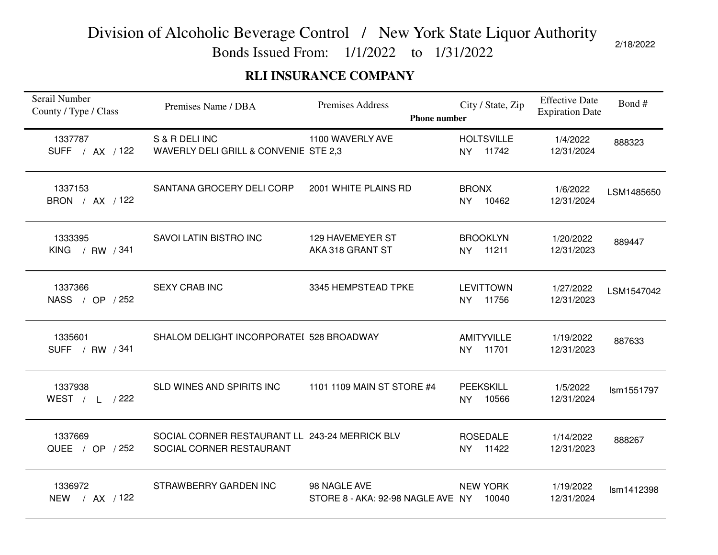Bonds Issued From: 1/1/2022 to 1/31/2022

### **RLI INSURANCE COMPANY**

| Serail Number<br>County / Type / Class | Premises Name / DBA                                                        | Premises Address<br><b>Phone number</b>           | City / State, Zip                       | <b>Effective Date</b><br><b>Expiration Date</b> | Bond#      |
|----------------------------------------|----------------------------------------------------------------------------|---------------------------------------------------|-----------------------------------------|-------------------------------------------------|------------|
| 1337787<br>SUFF / AX / 122             | S & R DELI INC<br>WAVERLY DELI GRILL & CONVENIE STE 2,3                    | 1100 WAVERLY AVE                                  | <b>HOLTSVILLE</b><br>NY 11742           | 1/4/2022<br>12/31/2024                          | 888323     |
| 1337153<br>BRON / AX / 122             | SANTANA GROCERY DELI CORP                                                  | 2001 WHITE PLAINS RD                              | <b>BRONX</b><br>NY 10462                | 1/6/2022<br>12/31/2024                          | LSM1485650 |
| 1333395<br>KING / RW / 341             | SAVOI LATIN BISTRO INC                                                     | 129 HAVEMEYER ST<br>AKA 318 GRANT ST              | <b>BROOKLYN</b><br>11211<br><b>NY</b>   | 1/20/2022<br>12/31/2023                         | 889447     |
| 1337366<br>NASS / OP / 252             | <b>SEXY CRAB INC</b>                                                       | 3345 HEMPSTEAD TPKE                               | <b>LEVITTOWN</b><br>NY 11756            | 1/27/2022<br>12/31/2023                         | LSM1547042 |
| 1335601<br>SUFF / RW / 341             | SHALOM DELIGHT INCORPORATEI 528 BROADWAY                                   |                                                   | <b>AMITYVILLE</b><br>11701<br><b>NY</b> | 1/19/2022<br>12/31/2023                         | 887633     |
| 1337938<br>WEST / L /222               | SLD WINES AND SPIRITS INC                                                  | 1101 1109 MAIN ST STORE #4                        | <b>PEEKSKILL</b><br>10566<br><b>NY</b>  | 1/5/2022<br>12/31/2024                          | Ism1551797 |
| 1337669<br>QUEE / OP / 252             | SOCIAL CORNER RESTAURANT LL 243-24 MERRICK BLV<br>SOCIAL CORNER RESTAURANT |                                                   | <b>ROSEDALE</b><br>11422<br><b>NY</b>   | 1/14/2022<br>12/31/2023                         | 888267     |
| 1336972<br>NEW / AX / 122              | STRAWBERRY GARDEN INC                                                      | 98 NAGLE AVE<br>STORE 8 - AKA: 92-98 NAGLE AVE NY | <b>NEW YORK</b><br>10040                | 1/19/2022<br>12/31/2024                         | Ism1412398 |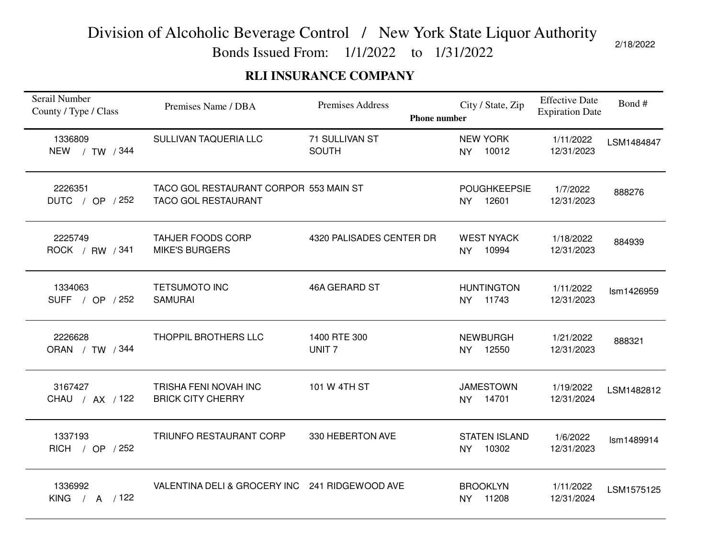Bonds Issued From: 1/1/2022 to 1/31/2022

### **RLI INSURANCE COMPANY**

| Serail Number<br>County / Type / Class | Premises Name / DBA                                                  | <b>Premises Address</b><br><b>Phone number</b> | City / State, Zip                          | <b>Effective Date</b><br><b>Expiration Date</b> | Bond#      |
|----------------------------------------|----------------------------------------------------------------------|------------------------------------------------|--------------------------------------------|-------------------------------------------------|------------|
| 1336809<br><b>NEW</b><br>/ TW / 344    | SULLIVAN TAQUERIA LLC                                                | 71 SULLIVAN ST<br><b>SOUTH</b>                 | <b>NEW YORK</b><br>10012<br><b>NY</b>      | 1/11/2022<br>12/31/2023                         | LSM1484847 |
| 2226351<br>DUTC / OP / 252             | TACO GOL RESTAURANT CORPOR 553 MAIN ST<br><b>TACO GOL RESTAURANT</b> |                                                | <b>POUGHKEEPSIE</b><br>12601<br><b>NY</b>  | 1/7/2022<br>12/31/2023                          | 888276     |
| 2225749<br>ROCK / RW / 341             | <b>TAHJER FOODS CORP</b><br><b>MIKE'S BURGERS</b>                    | 4320 PALISADES CENTER DR                       | <b>WEST NYACK</b><br>10994<br><b>NY</b>    | 1/18/2022<br>12/31/2023                         | 884939     |
| 1334063<br>SUFF / OP / 252             | <b>TETSUMOTO INC</b><br><b>SAMURAI</b>                               | 46A GERARD ST                                  | <b>HUNTINGTON</b><br>11743<br><b>NY</b>    | 1/11/2022<br>12/31/2023                         | Ism1426959 |
| 2226628<br>ORAN / TW / 344             | THOPPIL BROTHERS LLC                                                 | 1400 RTE 300<br>UNIT <sub>7</sub>              | <b>NEWBURGH</b><br>12550<br><b>NY</b>      | 1/21/2022<br>12/31/2023                         | 888321     |
| 3167427<br>CHAU / AX / 122             | TRISHA FENI NOVAH INC<br><b>BRICK CITY CHERRY</b>                    | 101 W 4TH ST                                   | <b>JAMESTOWN</b><br>14701<br><b>NY</b>     | 1/19/2022<br>12/31/2024                         | LSM1482812 |
| 1337193<br>RICH / OP / 252             | TRIUNFO RESTAURANT CORP                                              | 330 HEBERTON AVE                               | <b>STATEN ISLAND</b><br>10302<br><b>NY</b> | 1/6/2022<br>12/31/2023                          | Ism1489914 |
| 1336992<br>$/$ A $/122$<br><b>KING</b> | VALENTINA DELI & GROCERY INC 241 RIDGEWOOD AVE                       |                                                | <b>BROOKLYN</b><br>11208<br><b>NY</b>      | 1/11/2022<br>12/31/2024                         | LSM1575125 |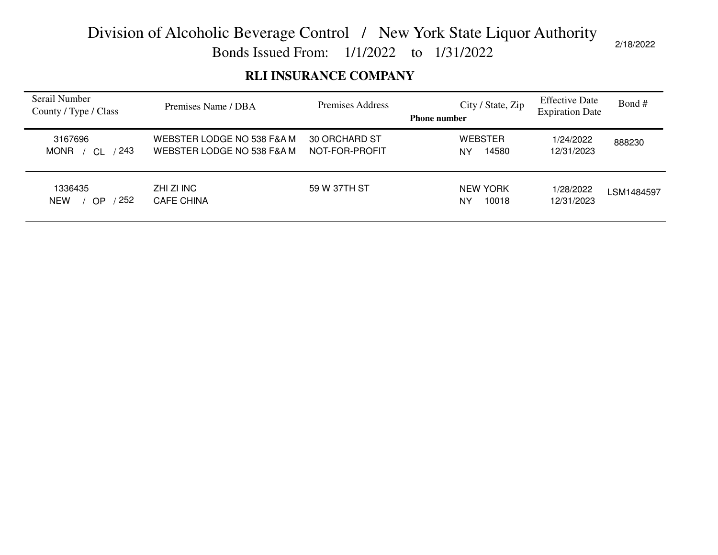Bonds Issued From: 1/1/2022 to 1/31/2022

### **RLI INSURANCE COMPANY**

| Serail Number<br>County / Type / Class | Premises Name / DBA                                      | Premises Address                | City / State, Zip<br><b>Phone number</b> | <b>Effective Date</b><br><b>Expiration Date</b> | Bond #     |
|----------------------------------------|----------------------------------------------------------|---------------------------------|------------------------------------------|-------------------------------------------------|------------|
| 3167696<br>243<br><b>MONR</b>          | WEBSTER LODGE NO 538 F&A M<br>WEBSTER LODGE NO 538 F&A M | 30 ORCHARD ST<br>NOT-FOR-PROFIT | <b>WEBSTER</b><br>14580<br><b>NY</b>     | 1/24/2022<br>12/31/2023                         | 888230     |
| 1336435<br>252<br><b>NEW</b><br>OP     | ZHI ZI INC<br><b>CAFE CHINA</b>                          | 59 W 37TH ST                    | NEW YORK<br>10018<br><b>NY</b>           | 1/28/2022<br>12/31/2023                         | LSM1484597 |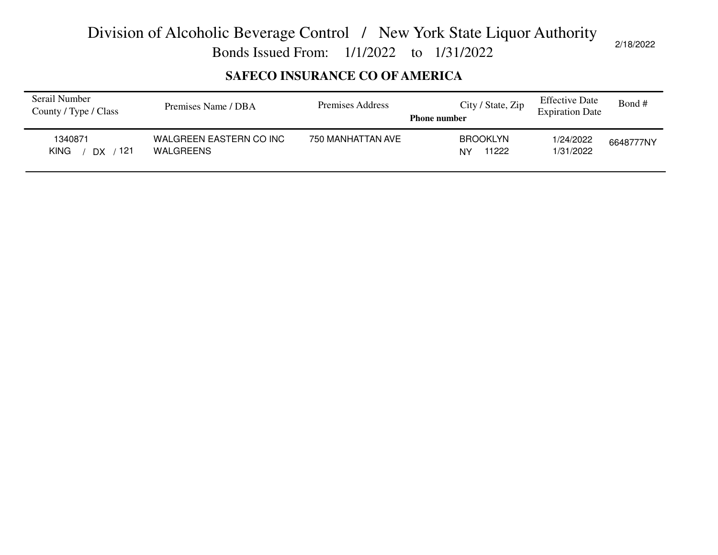Bonds Issued From: 1/1/2022 to 1/31/2022

### **SAFECO INSURANCE CO OF AMERICA**

| Serail Number<br>County / Type / Class | Premises Name / DBA                  | Premises Address  | City / State, Zip<br><b>Phone number</b> | <b>Effective Date</b><br><b>Expiration Date</b> | Bond #    |
|----------------------------------------|--------------------------------------|-------------------|------------------------------------------|-------------------------------------------------|-----------|
| 1340871<br>-121<br><b>KING</b><br>DX.  | WALGREEN EASTERN CO INC<br>WALGREENS | 750 MANHATTAN AVE | <b>BROOKLYN</b><br>11222<br>NY           | 1/24/2022<br>1/31/2022                          | 6648777NY |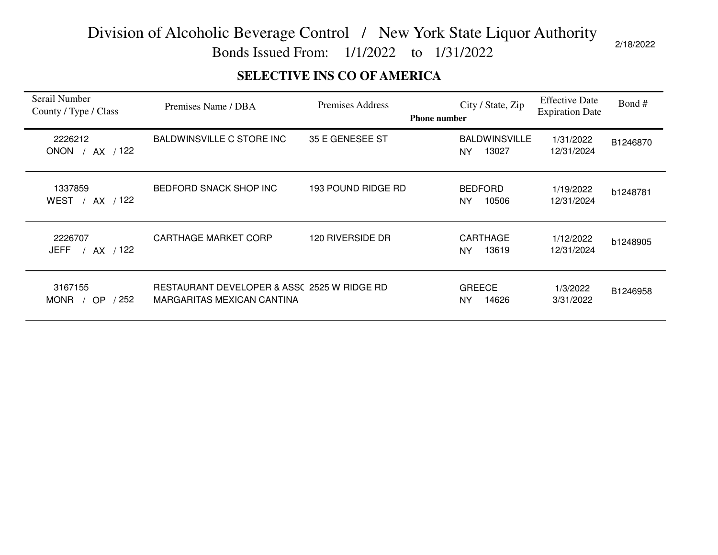Bonds Issued From: 1/1/2022 to 1/31/2022

### **SELECTIVE INS CO OF AMERICA**

| Serail Number<br>County / Type / Class                      | Premises Name / DBA                                                       | Premises Address   | <b>Phone number</b> | City / State, Zip                     | <b>Effective Date</b><br><b>Expiration Date</b> | Bond #   |
|-------------------------------------------------------------|---------------------------------------------------------------------------|--------------------|---------------------|---------------------------------------|-------------------------------------------------|----------|
| 2226212<br>AX / 122<br><b>ONON</b>                          | BALDWINSVILLE C STORE INC                                                 | 35 E GENESEE ST    |                     | <b>BALDWINSVILLE</b><br>13027<br>NY.  | 1/31/2022<br>12/31/2024                         | B1246870 |
| 1337859<br><b>WEST</b><br>AX / 122                          | BEDFORD SNACK SHOP INC                                                    | 193 POUND RIDGE RD |                     | <b>BEDFORD</b><br>10506<br><b>NY</b>  | 1/19/2022<br>12/31/2024                         | b1248781 |
| 2226707<br>AX / 122<br>JEFF                                 | <b>CARTHAGE MARKET CORP</b>                                               | 120 RIVERSIDE DR   |                     | <b>CARTHAGE</b><br>13619<br><b>NY</b> | 1/12/2022<br>12/31/2024                         | b1248905 |
| 3167155<br>$^{\prime}$ 252 $^{\prime}$<br><b>MONR</b><br>OP | RESTAURANT DEVELOPER & ASSC 2525 W RIDGE RD<br>MARGARITAS MEXICAN CANTINA |                    |                     | <b>GREECE</b><br>14626<br>NY          | 1/3/2022<br>3/31/2022                           | B1246958 |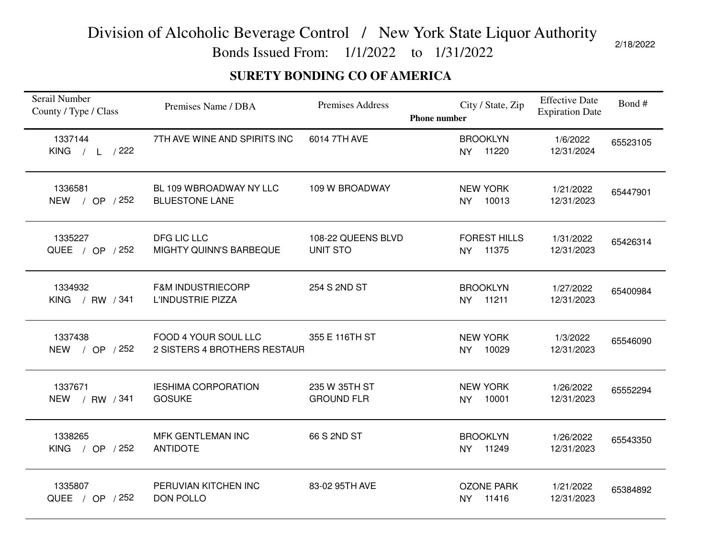Bonds Issued From: 1/1/2022 to 1/31/2022

### **SURETY BONDING CO OF AMERICA**

| Serail Number<br>County / Type / Class | Premises Name / DBA                                  | <b>Premises Address</b>               | City / State, Zip<br><b>Phone number</b> | <b>Effective Date</b><br><b>Expiration Date</b> | Bond#    |
|----------------------------------------|------------------------------------------------------|---------------------------------------|------------------------------------------|-------------------------------------------------|----------|
| 1337144<br>KING $/ L / 222$            | 7TH AVE WINE AND SPIRITS INC                         | 6014 7TH AVE                          | <b>BROOKLYN</b><br>11220<br><b>NY</b>    | 1/6/2022<br>12/31/2024                          | 65523105 |
| 1336581<br>NEW / OP / 252              | BL 109 WBROADWAY NY LLC<br><b>BLUESTONE LANE</b>     | 109 W BROADWAY                        | <b>NEW YORK</b><br>NY 10013              | 1/21/2022<br>12/31/2023                         | 65447901 |
| 1335227<br>QUEE / OP / 252             | DFG LIC LLC<br>MIGHTY QUINN'S BARBEQUE               | 108-22 QUEENS BLVD<br><b>UNIT STO</b> | <b>FOREST HILLS</b><br>NY 11375          | 1/31/2022<br>12/31/2023                         | 65426314 |
| 1334932<br>KING / RW / 341             | <b>F&amp;M INDUSTRIECORP</b><br>L'INDUSTRIE PIZZA    | 254 S 2ND ST                          | <b>BROOKLYN</b><br>NY 11211              | 1/27/2022<br>12/31/2023                         | 65400984 |
| 1337438<br>/ OP $/252$<br><b>NEW</b>   | FOOD 4 YOUR SOUL LLC<br>2 SISTERS 4 BROTHERS RESTAUR | 355 E 116TH ST                        | <b>NEW YORK</b><br>10029<br><b>NY</b>    | 1/3/2022<br>12/31/2023                          | 65546090 |
| 1337671<br>NEW / RW / 341              | <b>IESHIMA CORPORATION</b><br><b>GOSUKE</b>          | 235 W 35TH ST<br><b>GROUND FLR</b>    | <b>NEW YORK</b><br>NY 10001              | 1/26/2022<br>12/31/2023                         | 65552294 |
| 1338265<br>KING / OP $/252$            | MFK GENTLEMAN INC<br><b>ANTIDOTE</b>                 | 66 S 2ND ST                           | <b>BROOKLYN</b><br>NY 11249              | 1/26/2022<br>12/31/2023                         | 65543350 |
| 1335807<br>QUEE / OP / 252             | PERUVIAN KITCHEN INC<br><b>DON POLLO</b>             | 83-02 95TH AVE                        | <b>OZONE PARK</b><br>NY 11416            | 1/21/2022<br>12/31/2023                         | 65384892 |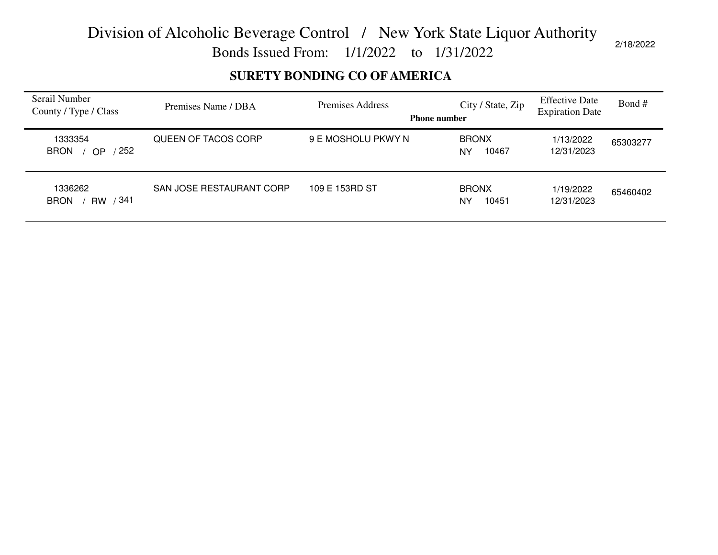Bonds Issued From: 1/1/2022 to 1/31/2022

### **SURETY BONDING CO OF AMERICA**

| Serail Number<br>County / Type / Class  | Premises Name / DBA      | Premises Address<br><b>Phone number</b> | City / State, Zip           | <b>Effective Date</b><br><b>Expiration Date</b> | Bond#    |
|-----------------------------------------|--------------------------|-----------------------------------------|-----------------------------|-------------------------------------------------|----------|
| 1333354<br>$'$ 252<br><b>BRON</b><br>OP | QUEEN OF TACOS CORP      | 9 E MOSHOLU PKWY N                      | <b>BRONX</b><br>10467<br>NY | 1/13/2022<br>12/31/2023                         | 65303277 |
| 1336262<br>RW / 341<br><b>BRON</b>      | SAN JOSE RESTAURANT CORP | 109 E 153RD ST                          | <b>BRONX</b><br>10451<br>NY | 1/19/2022<br>12/31/2023                         | 65460402 |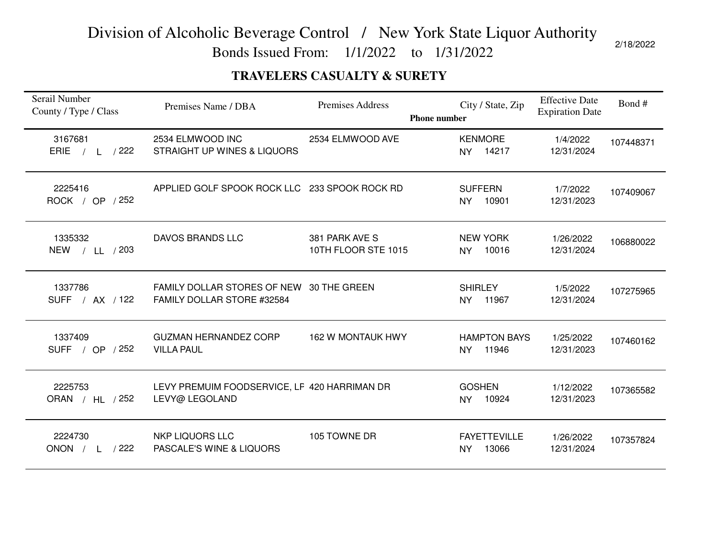Bonds Issued From: 1/1/2022 to 1/31/2022

### **TRAVELERS CASUALTY & SURETY**

| Serail Number<br>County / Type / Class | Premises Name / DBA                                                    | <b>Premises Address</b><br><b>Phone number</b> | City / State, Zip                         | <b>Effective Date</b><br><b>Expiration Date</b> | Bond#     |
|----------------------------------------|------------------------------------------------------------------------|------------------------------------------------|-------------------------------------------|-------------------------------------------------|-----------|
| 3167681<br>ERIE<br>$/$ L $/$ 222       | 2534 ELMWOOD INC<br>STRAIGHT UP WINES & LIQUORS                        | 2534 ELMWOOD AVE                               | <b>KENMORE</b><br>NY 14217                | 1/4/2022<br>12/31/2024                          | 107448371 |
| 2225416<br>ROCK / OP / 252             | APPLIED GOLF SPOOK ROCK LLC 233 SPOOK ROCK RD                          |                                                | <b>SUFFERN</b><br>10901<br><b>NY</b>      | 1/7/2022<br>12/31/2023                          | 107409067 |
| 1335332<br>NEW / LL / 203              | DAVOS BRANDS LLC                                                       | 381 PARK AVE S<br>10TH FLOOR STE 1015          | <b>NEW YORK</b><br>10016<br><b>NY</b>     | 1/26/2022<br>12/31/2024                         | 106880022 |
| 1337786<br>SUFF / AX / 122             | FAMILY DOLLAR STORES OF NEW 30 THE GREEN<br>FAMILY DOLLAR STORE #32584 |                                                | <b>SHIRLEY</b><br>11967<br><b>NY</b>      | 1/5/2022<br>12/31/2024                          | 107275965 |
| 1337409<br>SUFF / OP / 252             | <b>GUZMAN HERNANDEZ CORP</b><br><b>VILLA PAUL</b>                      | <b>162 W MONTAUK HWY</b>                       | <b>HAMPTON BAYS</b><br>11946<br>NY        | 1/25/2022<br>12/31/2023                         | 107460162 |
| 2225753<br>ORAN / HL / 252             | LEVY PREMUIM FOODSERVICE, LF 420 HARRIMAN DR<br>LEVY@ LEGOLAND         |                                                | <b>GOSHEN</b><br>10924<br>NY              | 1/12/2022<br>12/31/2023                         | 107365582 |
| 2224730<br>/222<br>ONON $/ L$          | <b>NKP LIQUORS LLC</b><br>PASCALE'S WINE & LIQUORS                     | 105 TOWNE DR                                   | <b>FAYETTEVILLE</b><br>13066<br><b>NY</b> | 1/26/2022<br>12/31/2024                         | 107357824 |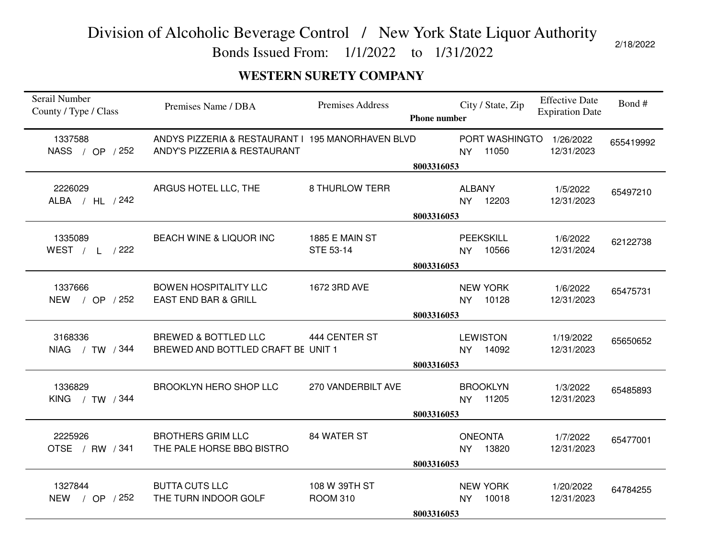Bonds Issued From: 1/1/2022 to 1/31/2022

### **WESTERN SURETY COMPANY**

| Serail Number<br>County / Type / Class | Premises Name / DBA                                                               | <b>Premises Address</b>          | <b>Phone number</b> | City / State, Zip                      | <b>Effective Date</b><br><b>Expiration Date</b> | Bond#     |
|----------------------------------------|-----------------------------------------------------------------------------------|----------------------------------|---------------------|----------------------------------------|-------------------------------------------------|-----------|
| 1337588<br>NASS / OP / 252             | ANDYS PIZZERIA & RESTAURANT I 195 MANORHAVEN BLVD<br>ANDY'S PIZZERIA & RESTAURANT |                                  | 8003316053          | PORT WASHINGTO<br>11050<br><b>NY</b>   | 1/26/2022<br>12/31/2023                         | 655419992 |
| 2226029<br>ALBA / HL / 242             | ARGUS HOTEL LLC, THE                                                              | <b>8 THURLOW TERR</b>            | 8003316053          | <b>ALBANY</b><br>12203<br><b>NY</b>    | 1/5/2022<br>12/31/2023                          | 65497210  |
| 1335089<br>WEST / L /222               | BEACH WINE & LIQUOR INC                                                           | 1885 E MAIN ST<br>STE 53-14      | 8003316053          | <b>PEEKSKILL</b><br><b>NY</b><br>10566 | 1/6/2022<br>12/31/2024                          | 62122738  |
| 1337666<br>NEW / OP / 252              | <b>BOWEN HOSPITALITY LLC</b><br><b>EAST END BAR &amp; GRILL</b>                   | 1672 3RD AVE                     | 8003316053          | <b>NEW YORK</b><br>10128<br><b>NY</b>  | 1/6/2022<br>12/31/2023                          | 65475731  |
| 3168336<br>NIAG / TW / 344             | <b>BREWED &amp; BOTTLED LLC</b><br>BREWED AND BOTTLED CRAFT BE UNIT 1             | 444 CENTER ST                    | 8003316053          | <b>LEWISTON</b><br>14092<br><b>NY</b>  | 1/19/2022<br>12/31/2023                         | 65650652  |
| 1336829<br>KING / TW / 344             | <b>BROOKLYN HERO SHOP LLC</b>                                                     | 270 VANDERBILT AVE               | 8003316053          | <b>BROOKLYN</b><br>11205<br><b>NY</b>  | 1/3/2022<br>12/31/2023                          | 65485893  |
| 2225926<br>OTSE / RW / 341             | <b>BROTHERS GRIM LLC</b><br>THE PALE HORSE BBQ BISTRO                             | 84 WATER ST                      | 8003316053          | <b>ONEONTA</b><br>13820<br><b>NY</b>   | 1/7/2022<br>12/31/2023                          | 65477001  |
| 1327844<br>NEW / OP / 252              | <b>BUTTA CUTS LLC</b><br>THE TURN INDOOR GOLF                                     | 108 W 39TH ST<br><b>ROOM 310</b> | 8003316053          | <b>NEW YORK</b><br>10018<br><b>NY</b>  | 1/20/2022<br>12/31/2023                         | 64784255  |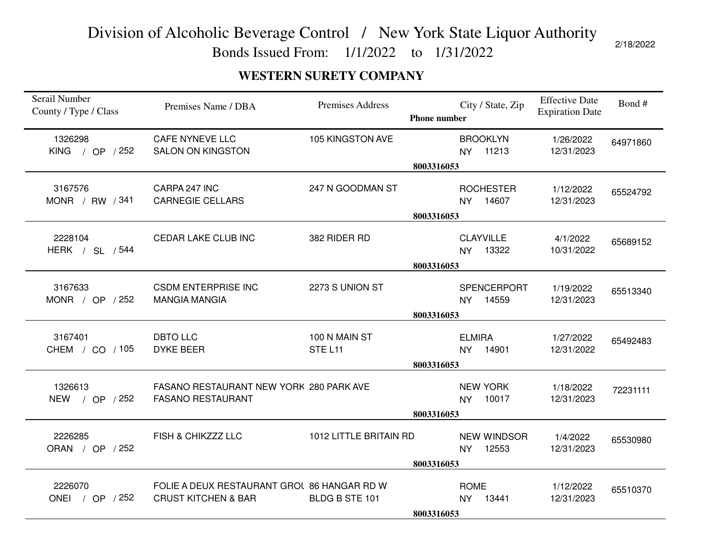Bonds Issued From: 1/1/2022 to 1/31/2022

### **WESTERN SURETY COMPANY**

| Serail Number<br>County / Type / Class | Premises Name / DBA                                                           | Premises Address        | <b>Phone number</b> | City / State, Zip                      | <b>Effective Date</b><br><b>Expiration Date</b> | Bond#    |
|----------------------------------------|-------------------------------------------------------------------------------|-------------------------|---------------------|----------------------------------------|-------------------------------------------------|----------|
| 1326298<br>KING / OP $/252$            | <b>CAFE NYNEVE LLC</b><br><b>SALON ON KINGSTON</b>                            | 105 KINGSTON AVE        |                     | <b>BROOKLYN</b><br>11213<br>NY.        | 1/26/2022<br>12/31/2023                         | 64971860 |
|                                        |                                                                               |                         | 8003316053          |                                        |                                                 |          |
| 3167576<br>MONR / RW / 341             | CARPA 247 INC<br><b>CARNEGIE CELLARS</b>                                      | 247 N GOODMAN ST        |                     | <b>ROCHESTER</b><br>14607<br><b>NY</b> | 1/12/2022<br>12/31/2023                         | 65524792 |
|                                        |                                                                               |                         | 8003316053          |                                        |                                                 |          |
| 2228104<br>HERK / SL / 544             | CEDAR LAKE CLUB INC                                                           | 382 RIDER RD            |                     | <b>CLAYVILLE</b><br>NY 13322           | 4/1/2022<br>10/31/2022                          | 65689152 |
|                                        |                                                                               |                         | 8003316053          |                                        |                                                 |          |
| 3167633<br>MONR / OP / 252             | <b>CSDM ENTERPRISE INC</b><br><b>MANGIA MANGIA</b>                            | 2273 S UNION ST         |                     | SPENCERPORT<br>14559<br>NY.            | 1/19/2022<br>12/31/2023                         | 65513340 |
|                                        |                                                                               |                         | 8003316053          |                                        |                                                 |          |
| 3167401<br>CHEM / CO / 105             | <b>DBTO LLC</b><br><b>DYKE BEER</b>                                           | 100 N MAIN ST<br>STEL11 | 8003316053          | <b>ELMIRA</b><br>14901<br><b>NY</b>    | 1/27/2022<br>12/31/2022                         | 65492483 |
| 1326613<br>NEW / OP / 252              | FASANO RESTAURANT NEW YORK 280 PARK AVE<br><b>FASANO RESTAURANT</b>           |                         | 8003316053          | <b>NEW YORK</b><br>10017<br><b>NY</b>  | 1/18/2022<br>12/31/2023                         | 72231111 |
| 2226285<br>ORAN / OP / 252             | FISH & CHIKZZZ LLC                                                            | 1012 LITTLE BRITAIN RD  |                     | <b>NEW WINDSOR</b><br>12553<br>NY      | 1/4/2022<br>12/31/2023                          | 65530980 |
|                                        |                                                                               |                         | 8003316053          |                                        |                                                 |          |
|                                        |                                                                               |                         |                     |                                        |                                                 |          |
| 2226070<br>ONEI / OP / 252             | FOLIE A DEUX RESTAURANT GROU 86 HANGAR RD W<br><b>CRUST KITCHEN &amp; BAR</b> | BLDG B STE 101          |                     | <b>ROME</b><br>13441<br><b>NY</b>      | 1/12/2022<br>12/31/2023                         | 65510370 |
|                                        |                                                                               |                         | 8003316053          |                                        |                                                 |          |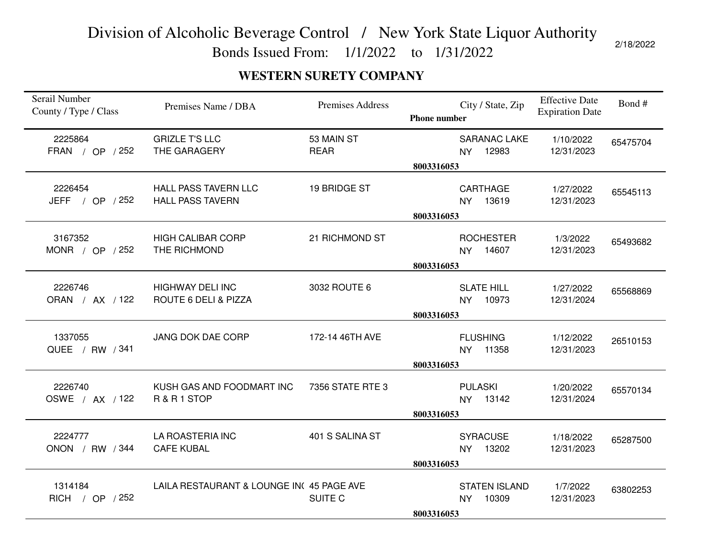Bonds Issued From: 1/1/2022 to 1/31/2022

2/18/2022

### **WESTERN SURETY COMPANY**

| Serail Number<br>County / Type / Class | Premises Name / DBA                                    | <b>Premises Address</b>   | <b>Phone number</b> | City / State, Zip                          | <b>Effective Date</b><br><b>Expiration Date</b> | Bond#    |
|----------------------------------------|--------------------------------------------------------|---------------------------|---------------------|--------------------------------------------|-------------------------------------------------|----------|
| 2225864<br>FRAN / OP / 252             | <b>GRIZLE T'S LLC</b><br>THE GARAGERY                  | 53 MAIN ST<br><b>REAR</b> |                     | <b>SARANAC LAKE</b><br>NY 12983            | 1/10/2022<br>12/31/2023                         | 65475704 |
|                                        |                                                        |                           | 8003316053          |                                            |                                                 |          |
| 2226454<br>JEFF $/$ OP $/252$          | <b>HALL PASS TAVERN LLC</b><br><b>HALL PASS TAVERN</b> | 19 BRIDGE ST              |                     | CARTHAGE<br>NY 13619                       | 1/27/2022<br>12/31/2023                         | 65545113 |
|                                        |                                                        |                           | 8003316053          |                                            |                                                 |          |
| 3167352<br>MONR / OP / 252             | <b>HIGH CALIBAR CORP</b><br>THE RICHMOND               | 21 RICHMOND ST            |                     | <b>ROCHESTER</b><br>NY 14607               | 1/3/2022<br>12/31/2023                          | 65493682 |
|                                        |                                                        |                           | 8003316053          |                                            |                                                 |          |
| 2226746<br>ORAN / AX / 122             | <b>HIGHWAY DELI INC</b><br>ROUTE 6 DELI & PIZZA        | 3032 ROUTE 6              |                     | <b>SLATE HILL</b><br>NY 10973              | 1/27/2022<br>12/31/2024                         | 65568869 |
|                                        |                                                        |                           | 8003316053          |                                            |                                                 |          |
| 1337055<br>QUEE / RW / 341             | JANG DOK DAE CORP                                      | 172-14 46TH AVE           |                     | <b>FLUSHING</b><br>NY 11358                | 1/12/2022<br>12/31/2023                         | 26510153 |
|                                        |                                                        |                           | 8003316053          |                                            |                                                 |          |
| 2226740<br>OSWE / AX / 122             | KUSH GAS AND FOODMART INC<br>R & R 1 STOP              | 7356 STATE RTE 3          |                     | <b>PULASKI</b><br>NY 13142                 | 1/20/2022<br>12/31/2024                         | 65570134 |
|                                        |                                                        |                           | 8003316053          |                                            |                                                 |          |
| 2224777<br>ONON / RW / 344             | LA ROASTERIA INC<br><b>CAFE KUBAL</b>                  | 401 S SALINA ST           |                     | <b>SYRACUSE</b><br>NY 13202                | 1/18/2022<br>12/31/2023                         | 65287500 |
|                                        |                                                        |                           | 8003316053          |                                            |                                                 |          |
| 1314184<br>RICH / OP / 252             | LAILA RESTAURANT & LOUNGE IN(45 PAGE AVE               | SUITE C                   |                     | <b>STATEN ISLAND</b><br>10309<br><b>NY</b> | 1/7/2022<br>12/31/2023                          | 63802253 |
|                                        |                                                        |                           | 8003316053          |                                            |                                                 |          |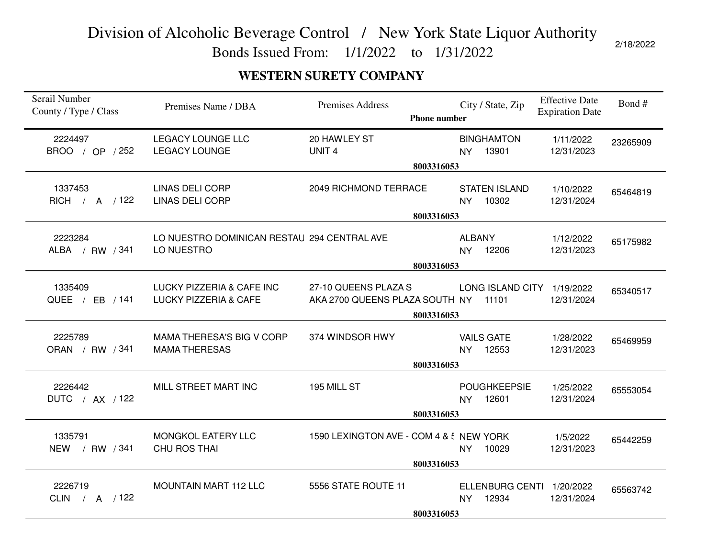Bonds Issued From: 1/1/2022 to 1/31/2022

### **WESTERN SURETY COMPANY**

| Serail Number<br>County / Type / Class | Premises Name / DBA                                           | Premises Address<br><b>Phone number</b>                | City / State, Zip                               | <b>Effective Date</b><br><b>Expiration Date</b> | Bond#    |  |
|----------------------------------------|---------------------------------------------------------------|--------------------------------------------------------|-------------------------------------------------|-------------------------------------------------|----------|--|
| 2224497<br>BROO / OP / 252             | LEGACY LOUNGE LLC<br><b>LEGACY LOUNGE</b>                     | 20 HAWLEY ST<br>UNIT <sub>4</sub>                      | <b>BINGHAMTON</b><br>NY 13901                   | 1/11/2022<br>12/31/2023                         | 23265909 |  |
|                                        | 8003316053                                                    |                                                        |                                                 |                                                 |          |  |
| 1337453<br>RICH / A / 122              | <b>LINAS DELI CORP</b><br><b>LINAS DELI CORP</b>              | 2049 RICHMOND TERRACE                                  | <b>STATEN ISLAND</b><br>NY 10302                | 1/10/2022<br>12/31/2024                         | 65464819 |  |
|                                        |                                                               | 8003316053                                             |                                                 |                                                 |          |  |
| 2223284<br>ALBA / RW / 341             | LO NUESTRO DOMINICAN RESTAU 294 CENTRAL AVE<br>LO NUESTRO     |                                                        | <b>ALBANY</b><br>NY 12206                       | 1/12/2022<br>12/31/2023                         | 65175982 |  |
|                                        |                                                               | 8003316053                                             |                                                 |                                                 |          |  |
| 1335409<br>QUEE / EB / 141             | LUCKY PIZZERIA & CAFE INC<br><b>LUCKY PIZZERIA &amp; CAFE</b> | 27-10 QUEENS PLAZA S<br>AKA 2700 QUEENS PLAZA SOUTH NY | LONG ISLAND CITY 1/19/2022<br>11101             | 12/31/2024                                      | 65340517 |  |
|                                        | 8003316053                                                    |                                                        |                                                 |                                                 |          |  |
| 2225789<br>ORAN / RW / 341             | MAMA THERESA'S BIG V CORP<br><b>MAMA THERESAS</b>             | 374 WINDSOR HWY<br>8003316053                          | <b>VAILS GATE</b><br>NY 12553                   | 1/28/2022<br>12/31/2023                         | 65469959 |  |
| 2226442<br>DUTC / AX / 122             | MILL STREET MART INC                                          | 195 MILL ST                                            | <b>POUGHKEEPSIE</b><br>NY 12601                 | 1/25/2022<br>12/31/2024                         | 65553054 |  |
|                                        | 8003316053                                                    |                                                        |                                                 |                                                 |          |  |
| 1335791<br>NEW / RW / 341              | MONGKOL EATERY LLC<br><b>CHU ROS THAI</b>                     | 1590 LEXINGTON AVE - COM 4 & ! NEW YORK                | 10029<br>NY ·                                   | 1/5/2022<br>12/31/2023                          | 65442259 |  |
|                                        | 8003316053                                                    |                                                        |                                                 |                                                 |          |  |
| 2226719<br>CLIN / A $/122$             | <b>MOUNTAIN MART 112 LLC</b>                                  | 5556 STATE ROUTE 11<br>8003316053                      | ELLENBURG CENTI 1/20/2022<br>12934<br><b>NY</b> | 12/31/2024                                      | 65563742 |  |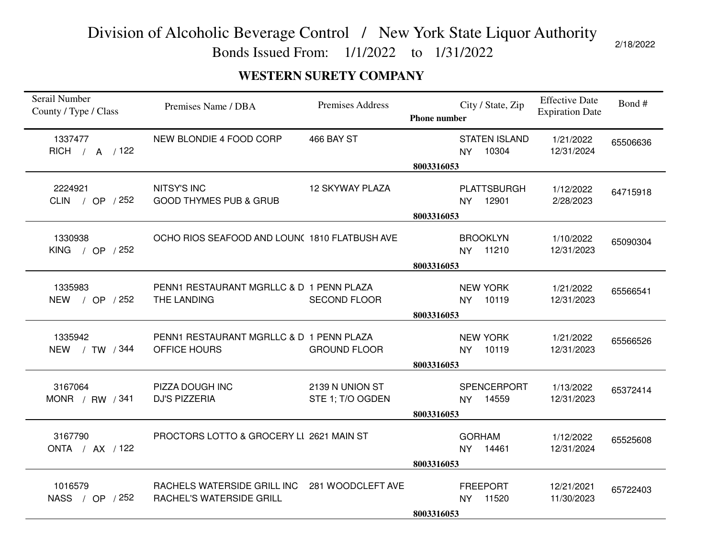Bonds Issued From: 1/1/2022 to 1/31/2022

### **WESTERN SURETY COMPANY**

| Serail Number<br>County / Type / Class | Premises Name / DBA                                     | <b>Premises Address</b>             | <b>Phone number</b> | City / State, Zip                          | <b>Effective Date</b><br><b>Expiration Date</b> | Bond#    |
|----------------------------------------|---------------------------------------------------------|-------------------------------------|---------------------|--------------------------------------------|-------------------------------------------------|----------|
| 1337477<br>RICH / A / 122              | NEW BLONDIE 4 FOOD CORP                                 | 466 BAY ST                          | 8003316053          | <b>STATEN ISLAND</b><br>10304<br><b>NY</b> | 1/21/2022<br>12/31/2024                         | 65506636 |
|                                        |                                                         |                                     |                     |                                            |                                                 |          |
| 2224921<br>CLIN / OP / 252             | <b>NITSY'S INC</b><br><b>GOOD THYMES PUB &amp; GRUB</b> | <b>12 SKYWAY PLAZA</b>              |                     | <b>PLATTSBURGH</b><br>12901<br><b>NY</b>   | 1/12/2022<br>2/28/2023                          | 64715918 |
|                                        |                                                         |                                     | 8003316053          |                                            |                                                 |          |
|                                        |                                                         |                                     |                     |                                            |                                                 |          |
| 1330938                                | OCHO RIOS SEAFOOD AND LOUN( 1810 FLATBUSH AVE           |                                     |                     | <b>BROOKLYN</b>                            | 1/10/2022                                       | 65090304 |
| KING / OP / 252                        |                                                         |                                     |                     | 11210<br><b>NY</b>                         | 12/31/2023                                      |          |
|                                        |                                                         |                                     | 8003316053          |                                            |                                                 |          |
|                                        |                                                         |                                     |                     |                                            |                                                 |          |
| 1335983<br>NEW / OP / 252              | PENN1 RESTAURANT MGRLLC & D 1 PENN PLAZA<br>THE LANDING | <b>SECOND FLOOR</b>                 |                     | <b>NEW YORK</b><br>10119<br><b>NY</b>      | 1/21/2022<br>12/31/2023                         | 65566541 |
|                                        |                                                         |                                     | 8003316053          |                                            |                                                 |          |
|                                        |                                                         |                                     |                     |                                            |                                                 |          |
| 1335942                                | PENN1 RESTAURANT MGRLLC & D 1 PENN PLAZA                |                                     |                     | <b>NEW YORK</b>                            | 1/21/2022                                       | 65566526 |
| NEW / TW / 344                         | OFFICE HOURS                                            | <b>GROUND FLOOR</b>                 |                     | 10119<br><b>NY</b>                         | 12/31/2023                                      |          |
|                                        |                                                         |                                     | 8003316053          |                                            |                                                 |          |
|                                        |                                                         |                                     |                     |                                            |                                                 |          |
| 3167064<br>MONR / RW $/341$            | PIZZA DOUGH INC<br><b>DJ'S PIZZERIA</b>                 | 2139 N UNION ST<br>STE 1; T/O OGDEN |                     | <b>SPENCERPORT</b><br>14559<br><b>NY</b>   | 1/13/2022<br>12/31/2023                         | 65372414 |
|                                        |                                                         |                                     | 8003316053          |                                            |                                                 |          |
|                                        |                                                         |                                     |                     |                                            |                                                 |          |
| 3167790                                | PROCTORS LOTTO & GROCERY LI 2621 MAIN ST                |                                     |                     | <b>GORHAM</b>                              | 1/12/2022                                       | 65525608 |
| ONTA / AX / 122                        |                                                         |                                     |                     | <b>NY</b><br>14461                         | 12/31/2024                                      |          |
|                                        |                                                         |                                     | 8003316053          |                                            |                                                 |          |
|                                        |                                                         |                                     |                     |                                            |                                                 |          |
| 1016579                                | RACHELS WATERSIDE GRILL INC                             | 281 WOODCLEFT AVE                   |                     | <b>FREEPORT</b>                            | 12/21/2021                                      | 65722403 |
| NASS / OP / 252                        | <b>RACHEL'S WATERSIDE GRILL</b>                         |                                     |                     | 11520<br><b>NY</b>                         | 11/30/2023                                      |          |
|                                        |                                                         |                                     | 8003316053          |                                            |                                                 |          |